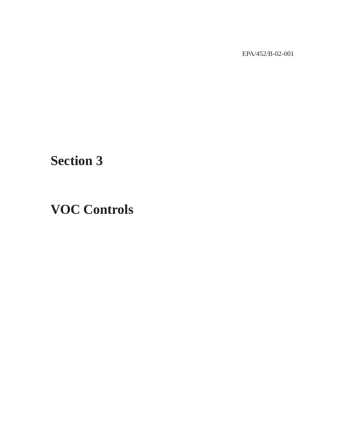EPA/452/B-02-001

## **Section 3**

## **VOC Controls**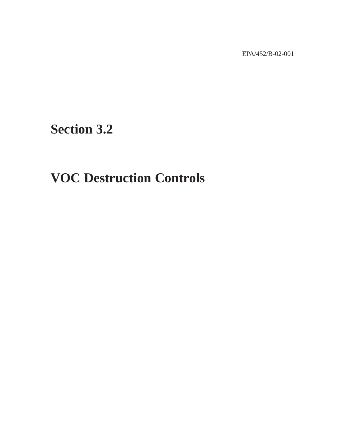EPA/452/B-02-001

**Section 3.2**

## **VOC Destruction Controls**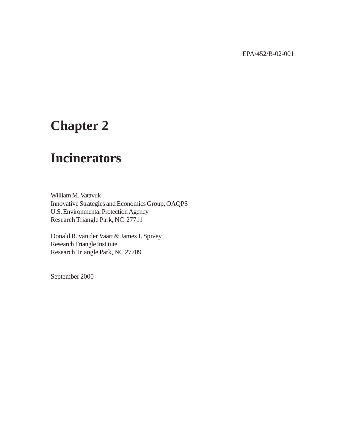EPA/452/B-02-001

## **Chapter 2**

## **Incinerators**

William M. Vatavuk Innovative Strategies and Economics Group, OAQPS U.S. Environmental Protection Agency Research Triangle Park, NC 27711

Donald R. van der Vaart & James J. Spivey Research Triangle Institute Research Triangle Park, NC 27709

September 2000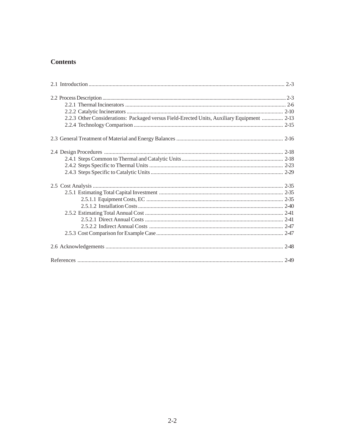## **Contents**

| 2.2.3 Other Considerations: Packaged versus Field-Erected Units, Auxiliary Equipment  2-13 |  |
|--------------------------------------------------------------------------------------------|--|
|                                                                                            |  |
|                                                                                            |  |
|                                                                                            |  |
|                                                                                            |  |
|                                                                                            |  |
|                                                                                            |  |
|                                                                                            |  |
|                                                                                            |  |
|                                                                                            |  |
|                                                                                            |  |
|                                                                                            |  |
|                                                                                            |  |
|                                                                                            |  |
|                                                                                            |  |
|                                                                                            |  |
|                                                                                            |  |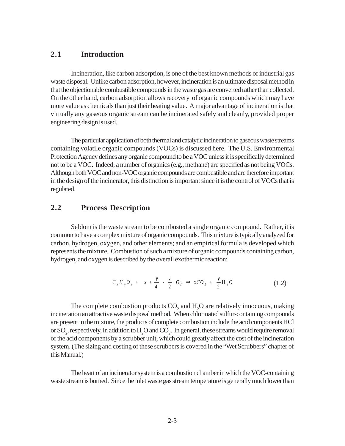## **2.1 Introduction**

Incineration, like carbon adsorption, is one of the best known methods of industrial gas waste disposal. Unlike carbon adsorption, however, incineration is an ultimate disposal method in that the objectionable combustible compounds in the waste gas are converted rather than collected. On the other hand, carbon adsorption allows recovery of organic compounds which may have more value as chemicals than just their heating value. A major advantage of incineration is that virtually any gaseous organic stream can be incinerated safely and cleanly, provided proper engineering design is used.

The particular application of both thermal and catalytic incineration to gaseous waste streams containing volatile organic compounds (VOCs) is discussed here. The U.S. Environmental Protection Agency defines any organic compound to be a VOC unless it is specifically determined not to be a VOC. Indeed, a number of organics (e.g*.*, methane) are specified as not being VOCs. Although both VOC and non-VOC organic compounds are combustible and are therefore important in the design of the incinerator, this distinction is important since it is the control of VOCs that is regulated.

### **2.2 Process Description**

Seldom is the waste stream to be combusted a single organic compound. Rather, it is common to have a complex mixture of organic compounds. This mixture is typically analyzed for carbon, hydrogen, oxygen, and other elements; and an empirical formula is developed which represents the mixture. Combustion of such a mixture of organic compounds containing carbon, hydrogen, and oxygen is described by the overall exothermic reaction:

$$
C_x H_y O_z + \left[x + \frac{y}{4} - \frac{z}{2}\right] O_2 \implies xCO_2 + \frac{y}{2} H_2 O \tag{1.2}
$$

The complete combustion products  $CO_2$  and  $H_2O$  are relatively innocuous, making incineration an attractive waste disposal method. When chlorinated sulfur-containing compounds are present in the mixture, the products of complete combustion include the acid components HCl or  $\mathrm{SO}_2$ , respectively, in addition to  $\mathrm{H}_2\mathrm{O}$  and  $\mathrm{CO}_2$ . In general, these streams would require removal of the acid components by a scrubber unit, which could greatly affect the cost of the incineration system. (The sizing and costing of these scrubbers is covered in the "Wet Scrubbers" chapter of this Manual.)

The heart of an incinerator system is a combustion chamber in which the VOC-containing waste stream is burned. Since the inlet waste gas stream temperature is generally much lower than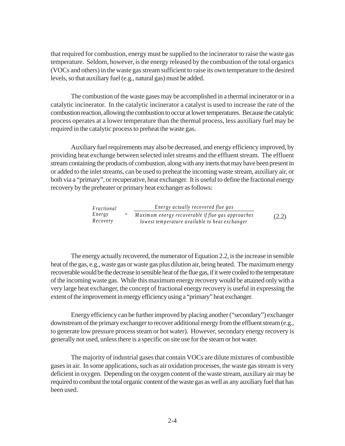that required for combustion, energy must be supplied to the incinerator to raise the waste gas temperature. Seldom, however, is the energy released by the combustion of the total organics (VOCs and others) in the waste gas stream sufficient to raise its own temperature to the desired levels, so that auxiliary fuel (e.g*.*, natural gas) must be added.

The combustion of the waste gases may be accomplished in a thermal incinerator or in a catalytic incinerator. In the catalytic incinerator a catalyst is used to increase the rate of the combustion reaction, allowing the combustion to occur at lower temperatures. Because the catalytic process operates at a lower temperature than the thermal process, less auxiliary fuel may be required in the catalytic process to preheat the waste gas.

Auxiliary fuel requirements may also be decreased, and energy efficiency improved, by providing heat exchange between selected inlet streams and the effluent stream. The effluent stream containing the products of combustion, along with any inerts that may have been present in or added to the inlet streams, can be used to preheat the incoming waste stream, auxiliary air, or both via a "primary", or recuperative, heat exchanger. It is useful to define the fractional energy recovery by the preheater or primary heat exchanger as follows:

| Fractional | Energy actually recovered flue gas                |       |
|------------|---------------------------------------------------|-------|
| Energy     | Maximum energy recoverable if flue gas approaches | (2.2) |
| Recovery   | lowest temperature available to heat exchanger    |       |

The energy actually recovered, the numerator of Equation 2.2, is the increase in sensible heat of the gas, e.g., waste gas or waste gas plus dilution air, being heated. The maximum energy recoverable would be the decrease in sensible heat of the flue gas, if it were cooled to the temperature of the incoming waste gas. While this maximum energy recovery would be attained only with a very large heat exchanger, the concept of fractional energy recovery is useful in expressing the extent of the improvement in energy efficiency using a "primary" heat exchanger.

Energy efficiency can be further improved by placing another ("secondary") exchanger downstream of the primary exchanger to recover additional energy from the effluent stream (e.g*.*, to generate low pressure process steam or hot water). However, secondary energy recovery is generally not used, unless there is a specific on site use for the steam or hot water.

The majority of industrial gases that contain VOCs are dilute mixtures of combustible gases in air. In some applications, such as air oxidation processes, the waste gas stream is very deficient in oxygen. Depending on the oxygen content of the waste stream, auxiliary air may be required to combust the total organic content of the waste gas as well as any auxiliary fuel that has been used.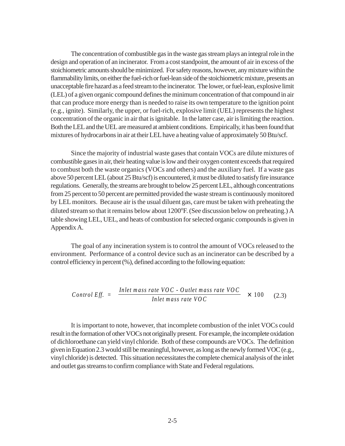The concentration of combustible gas in the waste gas stream plays an integral role in the design and operation of an incinerator. From a cost standpoint, the amount of air in excess of the stoichiometric amounts should be minimized. For safety reasons, however, any mixture within the flammability limits, on either the fuel-rich or fuel-lean side of the stoichiometric mixture, presents an unacceptable fire hazard as a feed stream to the incinerator. The lower, or fuel-lean, explosive limit (LEL) of a given organic compound defines the minimum concentration of that compound in air that can produce more energy than is needed to raise its own temperature to the ignition point (e.g., ignite). Similarly, the upper, or fuel-rich, explosive limit (UEL) represents the highest concentration of the organic in air that is ignitable. In the latter case, air is limiting the reaction. Both the LEL and the UEL are measured at ambient conditions. Empirically, it has been found that mixtures of hydrocarbons in air at their LEL have a heating value of approximately 50 Btu/scf.

Since the majority of industrial waste gases that contain VOCs are dilute mixtures of combustible gases in air, their heating value is low and their oxygen content exceeds that required to combust both the waste organics (VOCs and others) and the auxiliary fuel. If a waste gas above 50 percent LEL (about 25 Btu/scf) is encountered, it must be diluted to satisfy fire insurance regulations. Generally, the streams are brought to below 25 percent LEL, although concentrations from 25 percent to 50 percent are permitted provided the waste stream is continuously monitored by LEL monitors. Because air is the usual diluent gas, care must be taken with preheating the diluted stream so that it remains below about 1200°F. (See discussion below on preheating.) A table showing LEL, UEL, and heats of combustion for selected organic compounds is given in Appendix A.

The goal of any incineration system is to control the amount of VOCs released to the environment. Performance of a control device such as an incinerator can be described by a control efficiency in percent (%), defined according to the following equation:

$$
Control \; Eff. \; = \left[ \frac{Inlet \; mass \; rate \; VOC - Outlet \; mass \; rate \; VOC}{Inlet \; mass \; rate \; VOC} \right] \times 100 \qquad (2.3)
$$

It is important to note, however, that incomplete combustion of the inlet VOCs could result in the formation of other VOCs not originally present. For example, the incomplete oxidation of dichloroethane can yield vinyl chloride. Both of these compounds are VOCs. The definition given in Equation 2.3 would still be meaningful, however, as long as the newly formed VOC (e.g*.*, vinyl chloride) is detected. This situation necessitates the complete chemical analysis of the inlet and outlet gas streams to confirm compliance with State and Federal regulations.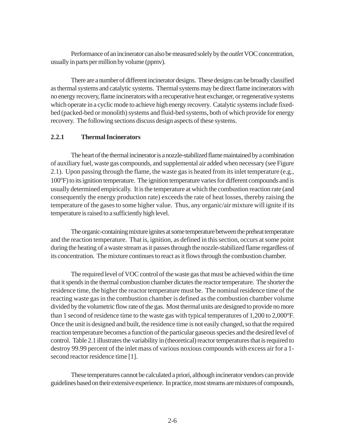Performance of an incinerator can also be measured solely by the *outlet* VOC concentration, usually in parts per million by volume (ppmv).

There are a number of different incinerator designs. These designs can be broadly classified as thermal systems and catalytic systems. Thermal systems may be direct flame incinerators with no energy recovery, flame incinerators with a recuperative heat exchanger, or regenerative systems which operate in a cyclic mode to achieve high energy recovery. Catalytic systems include fixedbed (packed-bed or monolith) systems and fluid-bed systems, both of which provide for energy recovery. The following sections discuss design aspects of these systems.

#### **2.2.1 Thermal Incinerators**

The heart of the thermal incinerator is a nozzle-stabilized flame maintained by a combination of auxiliary fuel, waste gas compounds, and supplemental air added when necessary (see Figure 2.1). Upon passing through the flame, the waste gas is heated from its inlet temperature (e.g*.*, 100°F) to its ignition temperature. The ignition temperature varies for different compounds and is usually determined empirically. It is the temperature at which the combustion reaction rate (and consequently the energy production rate) exceeds the rate of heat losses, thereby raising the temperature of the gases to some higher value. Thus, any organic/air mixture will ignite if its temperature is raised to a sufficiently high level.

The organic-containing mixture ignites at some temperature between the preheat temperature and the reaction temperature. That is, ignition, as defined in this section, occurs at some point during the heating of a waste stream as it passes through the nozzle-stabilized flame regardless of its concentration. The mixture continues to react as it flows through the combustion chamber.

The required level of VOC control of the waste gas that must be achieved within the time that it spends in the thermal combustion chamber dictates the reactor temperature. The shorter the residence time, the higher the reactor temperature must be. The nominal residence time of the reacting waste gas in the combustion chamber is defined as the combustion chamber volume divided by the volumetric flow rate of the gas. Most thermal units are designed to provide no more than 1 second of residence time to the waste gas with typical temperatures of 1,200 to 2,000°F. Once the unit is designed and built, the residence time is not easily changed, so that the required reaction temperature becomes a function of the particular gaseous species and the desired level of control. Table 2.1 illustrates the variability in (theoretical) reactor temperatures that is required to destroy 99.99 percent of the inlet mass of various noxious compounds with excess air for a 1 second reactor residence time [1].

These temperatures cannot be calculated a priori, although incinerator vendors can provide guidelines based on their extensive experience. In practice, most streams are mixtures of compounds,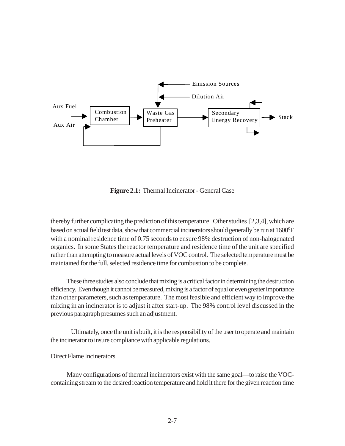

**Figure 2.1:** Thermal Incinerator - General Case

thereby further complicating the prediction of this temperature. Other studies [2,3,4], which are based on actual field test data, show that commercial incinerators should generally be run at 1600°F with a nominal residence time of 0.75 seconds to ensure 98% destruction of non-halogenated organics. In some States the reactor temperature and residence time of the unit are specified rather than attempting to measure actual levels of VOC control. The selected temperature must be maintained for the full, selected residence time for combustion to be complete.

These three studies also conclude that mixing is a critical factor in determining the destruction efficiency. Even though it cannot be measured, mixing is a factor of equal or even greater importance than other parameters, such as temperature. The most feasible and efficient way to improve the mixing in an incinerator is to adjust it after start-up. The 98% control level discussed in the previous paragraph presumes such an adjustment.

Ultimately, once the unit is built, it is the responsibility of the user to operate and maintain the incinerator to insure compliance with applicable regulations.

Direct Flame Incinerators

Many configurations of thermal incinerators exist with the same goal—to raise the VOCcontaining stream to the desired reaction temperature and hold it there for the given reaction time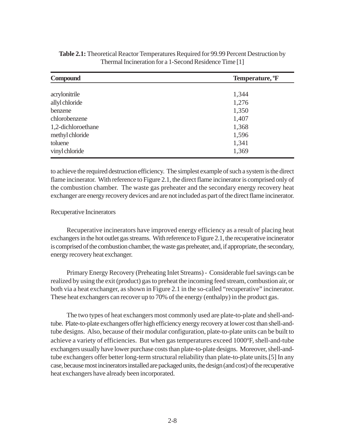| <b>Compound</b>    | Temperature, <sup>o</sup> F |  |  |
|--------------------|-----------------------------|--|--|
|                    |                             |  |  |
| acrylonitrile      | 1,344                       |  |  |
| allyl chloride     | 1,276                       |  |  |
| benzene            | 1,350                       |  |  |
| chlorobenzene      | 1,407                       |  |  |
| 1,2-dichloroethane | 1,368                       |  |  |
| methyl chloride    | 1,596                       |  |  |
| toluene            | 1,341                       |  |  |
| vinyl chloride     | 1,369                       |  |  |

| Table 2.1: Theoretical Reactor Temperatures Required for 99.99 Percent Destruction by |
|---------------------------------------------------------------------------------------|
| Thermal Incineration for a 1-Second Residence Time [1]                                |

to achieve the required destruction efficiency. The simplest example of such a system is the direct flame incinerator. With reference to Figure 2.1, the direct flame incinerator is comprised only of the combustion chamber. The waste gas preheater and the secondary energy recovery heat exchanger are energy recovery devices and are not included as part of the direct flame incinerator.

#### Recuperative Incinerators

Recuperative incinerators have improved energy efficiency as a result of placing heat exchangers in the hot outlet gas streams. With reference to Figure 2.1, the recuperative incinerator is comprised of the combustion chamber, the waste gas preheater, and, if appropriate, the secondary, energy recovery heat exchanger.

Primary Energy Recovery (Preheating Inlet Streams) - Considerable fuel savings can be realized by using the exit (product) gas to preheat the incoming feed stream, combustion air, or both via a heat exchanger, as shown in Figure 2.1 in the so-called "recuperative" incinerator. These heat exchangers can recover up to 70% of the energy (enthalpy) in the product gas.

The two types of heat exchangers most commonly used are plate-to-plate and shell-andtube. Plate-to-plate exchangers offer high efficiency energy recovery at lower cost than shell-andtube designs. Also, because of their modular configuration, plate-to-plate units can be built to achieve a variety of efficiencies. But when gas temperatures exceed 1000°F, shell-and-tube exchangers usually have lower purchase costs than plate-to-plate designs. Moreover, shell-andtube exchangers offer better long-term structural reliability than plate-to-plate units.[5] In any case, because most incinerators installed are packaged units, the design (and cost) of the recuperative heat exchangers have already been incorporated.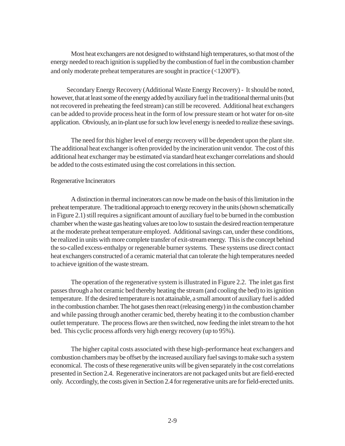Most heat exchangers are not designed to withstand high temperatures, so that most of the energy needed to reach ignition is supplied by the combustion of fuel in the combustion chamber and only moderate preheat temperatures are sought in practice  $(<1200^{\circ}$ F).

Secondary Energy Recovery (Additional Waste Energy Recovery) - It should be noted, however, that at least some of the energy added by auxiliary fuel in the traditional thermal units (but not recovered in preheating the feed stream) can still be recovered. Additional heat exchangers can be added to provide process heat in the form of low pressure steam or hot water for on-site application. Obviously, an in-plant use for such low level energy is needed to realize these savings.

The need for this higher level of energy recovery will be dependent upon the plant site. The additional heat exchanger is often provided by the incineration unit vendor. The cost of this additional heat exchanger may be estimated via standard heat exchanger correlations and should be added to the costs estimated using the cost correlations in this section.

#### Regenerative Incinerators

A distinction in thermal incinerators can now be made on the basis of this limitation in the preheat temperature. The traditional approach to energy recovery in the units (shown schematically in Figure 2.1) still requires a significant amount of auxiliary fuel to be burned in the combustion chamber when the waste gas heating values are too low to sustain the desired reaction temperature at the moderate preheat temperature employed. Additional savings can, under these conditions, be realized in units with more complete transfer of exit-stream energy. This is the concept behind the so-called excess-enthalpy or regenerable burner systems. These systems use direct contact heat exchangers constructed of a ceramic material that can tolerate the high temperatures needed to achieve ignition of the waste stream.

The operation of the regenerative system is illustrated in Figure 2.2. The inlet gas first passes through a hot ceramic bed thereby heating the stream (and cooling the bed) to its ignition temperature. If the desired temperature is not attainable, a small amount of auxiliary fuel is added in the combustion chamber. The hot gases then react (releasing energy) in the combustion chamber and while passing through another ceramic bed, thereby heating it to the combustion chamber outlet temperature. The process flows are then switched, now feeding the inlet stream to the hot bed. This cyclic process affords very high energy recovery (up to 95%).

The higher capital costs associated with these high-performance heat exchangers and combustion chambers may be offset by the increased auxiliary fuel savings to make such a system economical. The costs of these regenerative units will be given separately in the cost correlations presented in Section 2.4. Regenerative incinerators are not packaged units but are field-erected only. Accordingly, the costs given in Section 2.4 for regenerative units are for field-erected units.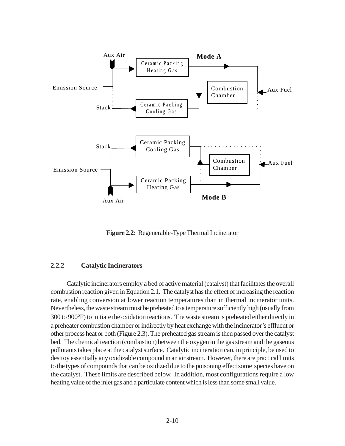

**Figure 2.2:** Regenerable-Type Thermal Incinerator

#### **2.2.2 Catalytic Incinerators**

Catalytic incinerators employ a bed of active material (catalyst) that facilitates the overall combustion reaction given in Equation 2.1. The catalyst has the effect of increasing the reaction rate, enabling conversion at lower reaction temperatures than in thermal incinerator units. Nevertheless, the waste stream must be preheated to a temperature sufficiently high (usually from 300 to 900°F) to initiate the oxidation reactions. The waste stream is preheated either directly in a preheater combustion chamber or indirectly by heat exchange with the incinerator's effluent or other process heat or both (Figure 2.3). The preheated gas stream is then passed over the catalyst bed. The chemical reaction (combustion) between the oxygen in the gas stream and the gaseous pollutants takes place at the catalyst surface. Catalytic incineration can, in principle, be used to destroy essentially any oxidizable compound in an air stream. However, there are practical limits to the types of compounds that can be oxidized due to the poisoning effect some species have on the catalyst. These limits are described below. In addition, most configurations require a low heating value of the inlet gas and a particulate content which is less than some small value.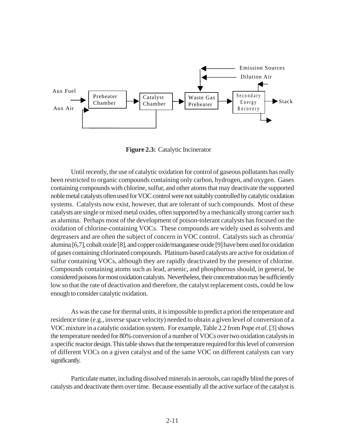

**Figure 2.3:** Catalytic Incinerator

Until recently, the use of catalytic oxidation for control of gaseous pollutants has really been restricted to organic compounds containing only carbon, hydrogen, and oxygen. Gases containing compounds with chlorine, sulfur, and other atoms that may deactivate the supported noble metal catalysts often used for VOC control were not suitably controlled by catalytic oxidation systems. Catalysts now exist, however, that are tolerant of such compounds. Most of these catalysts are single or mixed metal oxides, often supported by a mechanically strong carrier such as alumina. Perhaps most of the development of poison-tolerant catalysts has focused on the oxidation of chlorine-containing VOCs. These compounds are widely used as solvents and degreasers and are often the subject of concern in VOC control. Catalysts such as chromia/ alumina [6,7], cobalt oxide [8], and copper oxide/manganese oxide [9] have been used for oxidation of gases containing chlorinated compounds. Platinum-based catalysts are active for oxidation of sulfur containing VOCs, although they are rapidly deactivated by the presence of chlorine. Compounds containing atoms such as lead, arsenic, and phosphorous should, in general, be considered poisons for most oxidation catalysts. Nevertheless, their concentration may be sufficiently low so that the rate of deactivation and therefore, the catalyst replacement costs, could be low enough to consider catalytic oxidation.

As was the case for thermal units, it is impossible to predict a priori the temperature and residence time (e.g*.*, inverse space velocity) needed to obtain a given level of conversion of a VOC mixture in a catalytic oxidation system. For example, Table 2.2 from Pope *et al*. [3] shows the temperature needed for 80% conversion of a number of VOCs over two oxidation catalysts in a specific reactor design. This table shows that the temperature required for this level of conversion of different VOCs on a given catalyst and of the same VOC on different catalysts can vary significantly.

Particulate matter, including dissolved minerals in aerosols, can rapidly blind the pores of catalysts and deactivate them over time. Because essentially all the active surface of the catalyst is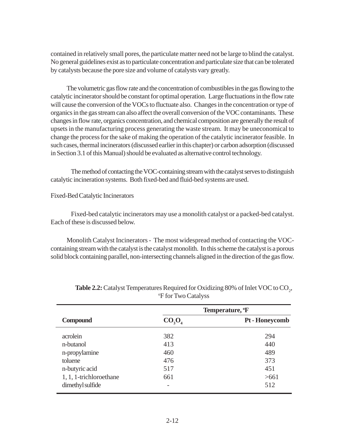contained in relatively small pores, the particulate matter need not be large to blind the catalyst. No general guidelines exist as to particulate concentration and particulate size that can be tolerated by catalysts because the pore size and volume of catalysts vary greatly.

The volumetric gas flow rate and the concentration of combustibles in the gas flowing to the catalytic incinerator should be constant for optimal operation. Large fluctuations in the flow rate will cause the conversion of the VOCs to fluctuate also. Changes in the concentration or type of organics in the gas stream can also affect the overall conversion of the VOC contaminants. These changes in flow rate, organics concentration, and chemical composition are generally the result of upsets in the manufacturing process generating the waste stream. It may be uneconomical to change the process for the sake of making the operation of the catalytic incinerator feasible. In such cases, thermal incinerators (discussed earlier in this chapter) or carbon adsorption (discussed in Section 3.1 of this Manual) should be evaluated as alternative control technology.

The method of contacting the VOC-containing stream with the catalyst serves to distinguish catalytic incineration systems. Both fixed-bed and fluid-bed systems are used.

#### Fixed-Bed Catalytic Incinerators

Fixed-bed catalytic incinerators may use a monolith catalyst or a packed-bed catalyst. Each of these is discussed below.

Monolith Catalyst Incinerators - The most widespread method of contacting the VOCcontaining stream with the catalyst is the catalyst monolith. In this scheme the catalyst is a porous solid block containing parallel, non-intersecting channels aligned in the direction of the gas flow.

|                         | Temperature, <sup>o</sup> F |                |  |
|-------------------------|-----------------------------|----------------|--|
| <b>Compound</b>         | $CO_3O_4$                   | Pt - Honeycomb |  |
| acrolein                | 382                         | 294            |  |
| n-butanol               | 413                         | 440            |  |
| n-propylamine           | 460                         | 489            |  |
| toluene                 | 476                         | 373            |  |
| n-butyric acid          | 517                         | 451            |  |
| 1, 1, 1-trichloroethane | 661                         | >661           |  |
| dimethyl sulfide        | $\overline{\phantom{0}}$    | 512            |  |

**Table 2.2:** Catalyst Temperatures Required for Oxidizing 80% of Inlet VOC to CO<sub>2</sub>, o F for Two Catalyss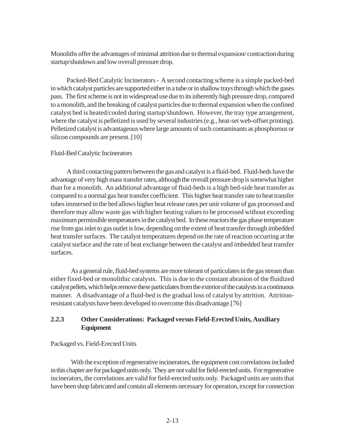Monoliths offer the advantages of minimal attrition due to thermal expansion/ contraction during startup/shutdown and low overall pressure drop.

Packed-Bed Catalytic Incinerators - A second contacting scheme is a simple packed-bed in which catalyst particles are supported either in a tube or in shallow trays through which the gases pass. The first scheme is not in widespread use due to its inherently high pressure drop, compared to a monolith, and the breaking of catalyst particles due to thermal expansion when the confined catalyst bed is heated/cooled during startup/shutdown. However, the tray type arrangement, where the catalyst is pelletized is used by several industries (e.g., heat-set web-offset printing). Pelletized catalyst is advantageous where large amounts of such contaminants as phosphorous or silicon compounds are present. [10]

### Fluid-Bed Catalytic Incinerators

A third contacting pattern between the gas and catalyst is a fluid-bed. Fluid-beds have the advantage of very high mass transfer rates, although the overall pressure drop is somewhat higher than for a monolith. An additional advantage of fluid-beds is a high bed-side heat transfer as compared to a normal gas heat transfer coefficient. This higher heat transfer rate to heat transfer tubes immersed in the bed allows higher heat release rates per unit volume of gas processed and therefore may allow waste gas with higher heating values to be processed without exceeding maximum permissible temperatures in the catalyst bed. In these reactors the gas phase temperature rise from gas inlet to gas outlet is low, depending on the extent of heat transfer through imbedded heat transfer surfaces. The catalyst temperatures depend on the rate of reaction occurring at the catalyst surface and the rate of heat exchange between the catalyst and imbedded heat transfer surfaces.

As a general rule, fluid-bed systems are more tolerant of particulates in the gas stream than either fixed-bed or monolithic catalysts. This is due to the constant abrasion of the fluidized catalyst pellets, which helps remove these particulates from the exterior of the catalysts in a continuous manner. A disadvantage of a fluid-bed is the gradual loss of catalyst by attrition. Attritionresistant catalysts have been developed to overcome this disadvantage.[76]

## **2.2.3 Other Considerations: Packaged versus Field-Erected Units, Auxiliary Equipment**

### Packaged vs. Field-Erected Units

With the exception of regenerative incinerators, the equipment cost correlations included in this chapter are for packaged units only. They are not valid for field-erected units. For regenerative incinerators, the correlations are valid for field-erected units only. Packaged units are units that have been shop fabricated and contain all elements necessary for operation, except for connection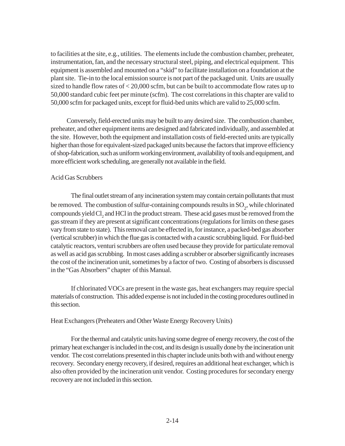to facilities at the site, e.g*.*, utilities. The elements include the combustion chamber, preheater, instrumentation, fan, and the necessary structural steel, piping, and electrical equipment. This equipment is assembled and mounted on a "skid" to facilitate installation on a foundation at the plant site. Tie-in to the local emission source is not part of the packaged unit. Units are usually sized to handle flow rates of < 20,000 scfm, but can be built to accommodate flow rates up to 50,000 standard cubic feet per minute (scfm). The cost correlations in this chapter are valid to 50,000 scfm for packaged units, except for fluid-bed units which are valid to 25,000 scfm.

Conversely, field-erected units may be built to any desired size. The combustion chamber, preheater, and other equipment items are designed and fabricated individually, and assembled at the site. However, both the equipment and installation costs of field-erected units are typically higher than those for equivalent-sized packaged units because the factors that improve efficiency of shop-fabrication, such as uniform working environment, availability of tools and equipment, and more efficient work scheduling, are generally not available in the field.

#### Acid Gas Scrubbers

The final outlet stream of any incineration system may contain certain pollutants that must be removed. The combustion of sulfur-containing compounds results in  $\mathrm{SO}_2$ , while chlorinated compounds yield  $\text{Cl}_2$  and HCl in the product stream. These acid gases must be removed from the gas stream if they are present at significant concentrations (regulations for limits on these gases vary from state to state). This removal can be effected in, for instance, a packed-bed gas absorber (vertical scrubber) in which the flue gas is contacted with a caustic scrubbing liquid. For fluid-bed catalytic reactors, venturi scrubbers are often used because they provide for particulate removal as well as acid gas scrubbing. In most cases adding a scrubber or absorber significantly increases the cost of the incineration unit, sometimes by a factor of two. Costing of absorbers is discussed in the "Gas Absorbers" chapter of this Manual.

If chlorinated VOCs are present in the waste gas, heat exchangers may require special materials of construction. This added expense is not included in the costing procedures outlined in this section.

#### Heat Exchangers (Preheaters and Other Waste Energy Recovery Units)

For the thermal and catalytic units having some degree of energy recovery, the cost of the primary heat exchanger is included in the cost, and its design is usually done by the incineration unit vendor. The cost correlations presented in this chapter include units both with and without energy recovery. Secondary energy recovery, if desired, requires an additional heat exchanger, which is also often provided by the incineration unit vendor. Costing procedures for secondary energy recovery are not included in this section.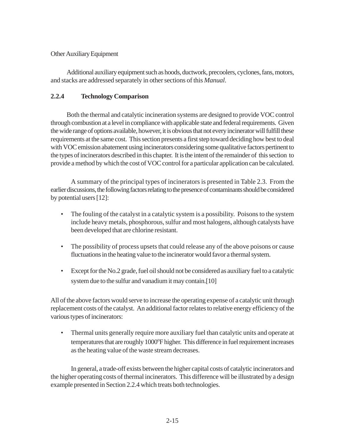### Other Auxiliary Equipment

Additional auxiliary equipment such as hoods, ductwork, precoolers, cyclones, fans, motors, and stacks are addressed separately in other sections of this *Manual*.

## **2.2.4 Technology Comparison**

Both the thermal and catalytic incineration systems are designed to provide VOC control through combustion at a level in compliance with applicable state and federal requirements. Given the wide range of options available, however, it is obvious that not every incinerator will fulfill these requirements at the same cost. This section presents a first step toward deciding how best to deal with VOC emission abatement using incinerators considering some qualitative factors pertinent to the types of incinerators described in this chapter. It is the intent of the remainder of this section to provide a method by which the cost of VOC control for a particular application can be calculated.

A summary of the principal types of incinerators is presented in Table 2.3. From the earlier discussions, the following factors relating to the presence of contaminants should be considered by potential users [12]:

- The fouling of the catalyst in a catalytic system is a possibility. Poisons to the system include heavy metals, phosphorous, sulfur and most halogens, although catalysts have been developed that are chlorine resistant.
- The possibility of process upsets that could release any of the above poisons or cause fluctuations in the heating value to the incinerator would favor a thermal system.
- Except for the No.2 grade, fuel oil should not be considered as auxiliary fuel to a catalytic system due to the sulfur and vanadium it may contain.[10]

All of the above factors would serve to increase the operating expense of a catalytic unit through replacement costs of the catalyst. An additional factor relates to relative energy efficiency of the various types of incinerators:

• Thermal units generally require more auxiliary fuel than catalytic units and operate at temperatures that are roughly 1000°F higher. This difference in fuel requirement increases as the heating value of the waste stream decreases.

In general, a trade-off exists between the higher capital costs of catalytic incinerators and the higher operating costs of thermal incinerators. This difference will be illustrated by a design example presented in Section 2.2.4 which treats both technologies.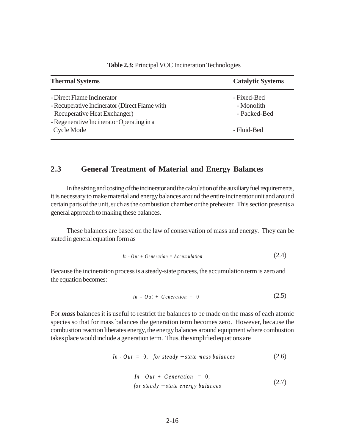| <b>Thermal Systems</b>                        | <b>Catalytic Systems</b> |
|-----------------------------------------------|--------------------------|
| - Direct Flame Incinerator                    | - Fixed-Bed              |
| - Recuperative Incinerator (Direct Flame with | - Monolith               |
| Recuperative Heat Exchanger)                  | - Packed-Bed             |
| - Regenerative Incinerator Operating in a     |                          |
| Cycle Mode                                    | - Fluid-Bed              |

**Table 2.3:** Principal VOC Incineration Technologies

## **2.3 General Treatment of Material and Energy Balances**

In the sizing and costing of the incinerator and the calculation of the auxiliary fuel requirements, it is necessary to make material and energy balances around the entire incinerator unit and around certain parts of the unit, such as the combustion chamber or the preheater. This section presents a general approach to making these balances.

These balances are based on the law of conservation of mass and energy. They can be stated in general equation form as

$$
In - Out + Generation = Accountulation \qquad (2.4)
$$

Because the incineration process is a steady-state process, the accumulation term is zero and the equation becomes:

$$
In - Out + Generation = 0 \qquad (2.5)
$$

For *mass* balances it is useful to restrict the balances to be made on the mass of each atomic species so that for mass balances the generation term becomes zero. However, because the combustion reaction liberates energy, the energy balances around equipment where combustion takes place would include a generation term. Thus, the simplified equations are

$$
In - Out = 0, for steady-state mass balances \t(2.6)
$$

$$
In - Out + Generation = 0,
$$
  
for steady-state energy balances (2.7)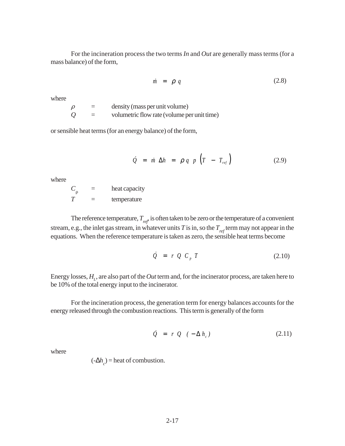For the incineration process the two terms *In* and *Out* are generally mass terms (for a mass balance) of the form,

$$
\dot{m} = \rho q \tag{2.8}
$$

where

 $\rho$  = density (mass per unit volume)  $Q =$  volumetric flow rate (volume per unit time)

or sensible heat terms (for an energy balance) of the form,

$$
\dot{Q} = \dot{m} \Delta h = \rho q \cdot p \left( T - T_{ref} \right) \tag{2.9}
$$

where

 $C_{\rho}$  = heat capacity *T* = temperature

The reference temperature,  $T_{ref}$  is often taken to be zero or the temperature of a convenient stream, e.g., the inlet gas stream, in whatever units *T* is in, so the  $T_{ref}$  term may not appear in the equations. When the reference temperature is taken as zero, the sensible heat terms become

$$
\dot{Q} = r Q C_p T \qquad (2.10)
$$

Energy losses,  $H_{_{L}}$ , are also part of the  $Out$  term and, for the incinerator process, are taken here to be 10% of the total energy input to the incinerator.

For the incineration process, the generation term for energy balances accounts for the energy released through the combustion reactions. This term is generally of the form

$$
\dot{Q} = r Q (-\Delta h_c) \qquad (2.11)
$$

where

 $(-\Delta h_c)$  = heat of combustion.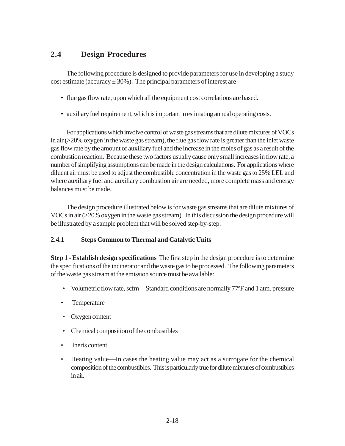## **2.4 Design Procedures**

The following procedure is designed to provide parameters for use in developing a study cost estimate (accuracy  $\pm 30\%$ ). The principal parameters of interest are

- flue gas flow rate, upon which all the equipment cost correlations are based.
- auxiliary fuel requirement, which is important in estimating annual operating costs.

For applications which involve control of waste gas streams that are dilute mixtures of VOCs in air  $\geq$  20% oxygen in the waste gas stream), the flue gas flow rate is greater than the inlet waste gas flow rate by the amount of auxiliary fuel and the increase in the moles of gas as a result of the combustion reaction. Because these two factors usually cause only small increases in flow rate, a number of simplifying assumptions can be made in the design calculations. For applications where diluent air must be used to adjust the combustible concentration in the waste gas to 25% LEL and where auxiliary fuel and auxiliary combustion air are needed, more complete mass and energy balances must be made.

The design procedure illustrated below is for waste gas streams that are dilute mixtures of VOCs in air (>20% oxygen in the waste gas stream). In this discussion the design procedure will be illustrated by a sample problem that will be solved step-by-step.

## **2.4.1 Steps Common to Thermal and Catalytic Units**

**Step 1 - Establish design specifications** The first step in the design procedure is to determine the specifications of the incinerator and the waste gas to be processed. The following parameters of the waste gas stream at the emission source must be available:

- Volumetric flow rate, scfm—Standard conditions are normally 77°F and 1 atm. pressure
- Temperature
- Oxygen content
- Chemical composition of the combustibles
- **Inerts content**
- Heating value—In cases the heating value may act as a surrogate for the chemical composition of the combustibles. This is particularly true for dilute mixtures of combustibles in air.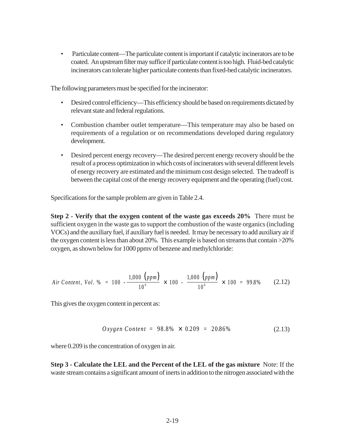• Particulate content—The particulate content is important if catalytic incinerators are to be coated. An upstream filter may suffice if particulate content is too high. Fluid-bed catalytic incinerators can tolerate higher particulate contents than fixed-bed catalytic incinerators.

The following parameters must be specified for the incinerator:

- Desired control efficiency—This efficiency should be based on requirements dictated by relevant state and federal regulations.
- Combustion chamber outlet temperature—This temperature may also be based on requirements of a regulation or on recommendations developed during regulatory development.
- Desired percent energy recovery—The desired percent energy recovery should be the result of a process optimization in which costs of incinerators with several different levels of energy recovery are estimated and the minimum cost design selected. The tradeoff is between the capital cost of the energy recovery equipment and the operating (fuel) cost.

Specifications for the sample problem are given in Table 2.4.

**Step 2 - Verify that the oxygen content of the waste gas exceeds 20%** There must be sufficient oxygen in the waste gas to support the combustion of the waste organics (including VOCs) and the auxiliary fuel, if auxiliary fuel is needed. It may be necessary to add auxiliary air if the oxygen content is less than about 20%. This example is based on streams that contain >20% oxygen, as shown below for 1000 ppmv of benzene and methylchloride:

*Air Content, Vol.* % = 100 - 
$$
\frac{1,000 (ppm)}{10^6}
$$
 × 100 -  $\frac{1,000 (ppm)}{10^6}$  × 100 = 99.8% (2.12)

This gives the oxygen content in percent as:

$$
Oxygen Content = 98.8\% \times 0.209 = 20.86\% \tag{2.13}
$$

where 0.209 is the concentration of oxygen in air.

**Step 3 - Calculate the LEL and the Percent of the LEL of the gas mixture** Note: If the waste stream contains a significant amount of inerts in addition to the nitrogen associated with the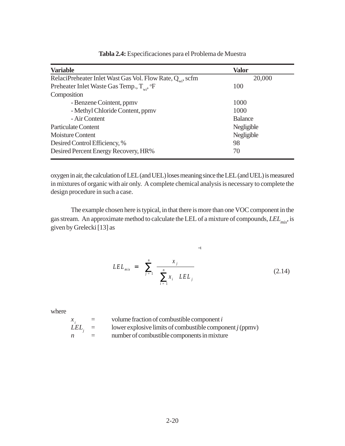| <b>Variable</b>                                                       | <b>Valor</b>   |
|-----------------------------------------------------------------------|----------------|
| RelaciPreheater Inlet Wast Gas Vol. Flow Rate, Q <sub>ui</sub> , scfm | 20,000         |
| Preheater Inlet Waste Gas Temp., $T_{w,i}$ , ${}^{\circ}F$            | 100            |
| Composition                                                           |                |
| - Benzene Cointent, ppmy                                              | 1000           |
| - Methyl Chloride Content, ppmv                                       | 1000           |
| - Air Content                                                         | <b>Balance</b> |
| Particulate Content                                                   | Negligible     |
| Moisture Content                                                      | Negligible     |
| Desired Control Efficiency, %                                         | 98             |
| Desired Percent Energy Recovery, HR%                                  | 70             |

## **Tabla 2.4:** Especificaciones para el Problema de Muestra

oxygen in air, the calculation of LEL (and UEL) loses meaning since the LEL (and UEL) is measured in mixtures of organic with air only. A complete chemical analysis is necessary to complete the design procedure in such a case.

The example chosen here is typical, in that there is more than one VOC component in the gas stream. An approximate method to calculate the LEL of a mixture of compounds, *LEL*<sub>mix</sub>, is given by Grelecki [13] as

$$
LEL_{mix} = \left[ \sum_{j=1}^{n} \frac{x_{j}}{\left( \sum_{i=1}^{n} x_{i} \right) LEL_{j}} \right]^{-1}
$$
 (2.14)

where

| $x_i$ | $=$                       | volume fraction of combustible component i                 |
|-------|---------------------------|------------------------------------------------------------|
| LEL.  | $\mathbf{r} = \mathbf{r}$ | lower explosive limits of combustible component $j$ (ppmv) |
| n     |                           | number of combustible components in mixture                |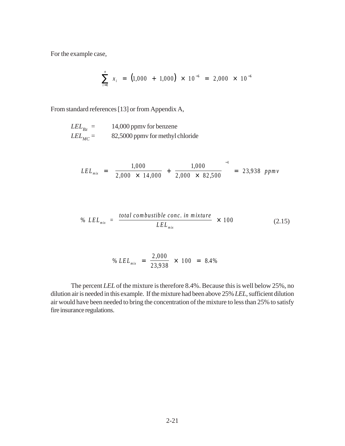For the example case,

$$
\sum_{i=1}^{n} x_i = (1,000 + 1,000) \times 10^{-6} = 2,000 \times 10^{-6}
$$

From standard references [13] or from Appendix A,

$$
LEL_{Bz} = 14,000 \text{ ppmv for benzene}
$$
  

$$
LEL_{MC} = 82,5000 \text{ ppmv for methyl chloride}
$$

$$
LEL_{mix} = \left[\frac{1,000}{2,000 \times 14,000} + \frac{1,000}{2,000 \times 82,500}\right]^{-1} = 23,938 \; ppmv
$$

% 
$$
LEL_{mix} = \frac{total~combustible~conc.~in~mixture}{LEL_{mix}} \times 100
$$
 (2.15)

% 
$$
LEL_{mix} = \frac{2,000}{23,938} \times 100 = 8.4\%
$$

The percent *LEL* of the mixture is therefore 8.4%. Because this is well below 25%, no dilution air is needed in this example. If the mixture had been above 25% *LEL*, sufficient dilution air would have been needed to bring the concentration of the mixture to less than 25% to satisfy fire insurance regulations.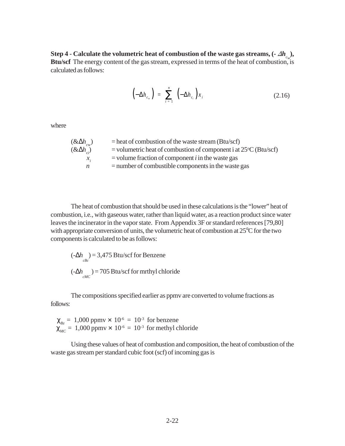Step 4 - Calculate the volumetric heat of combustion of the waste gas streams,  $(-\Delta h_{c_w})$ , **Btu/scf** The energy content of the gas stream, expressed in terms of the heat of combustion, is calculated as follows:

$$
\left(-\Delta h_{c_w}\right) = \sum_{i=1}^n \left(-\Delta h_{c_i}\right) x_i \tag{2.16}
$$

where

| $(\& \Delta h_{\rm cw})$ | $=$ heat of combustion of the waste stream (Btu/scf)                              |
|--------------------------|-----------------------------------------------------------------------------------|
| $(\& \Delta h_{ci})$     | $=$ volumetric heat of combustion of component i at 25 $\rm{^{\circ}C}$ (Btu/scf) |
| $\mathcal{X}_{i}$        | $=$ volume fraction of component <i>i</i> in the waste gas                        |
| n                        | $=$ number of combustible components in the waste gas                             |

The heat of combustion that should be used in these calculations is the "lower" heat of combustion, i.e*.*, with gaseous water, rather than liquid water, as a reaction product since water leaves the incinerator in the vapor state. From Appendix 3F or standard references [79,80] with appropriate conversion of units, the volumetric heat of combustion at 25°C for the two components is calculated to be as follows:

$$
(-\Delta h_{cbc}) = 3,475 \text{ Btu/scf for Benzene}
$$
  

$$
(-\Delta h_{cMC}) = 705 \text{ Btu/scf for methyl chloride}
$$

The compositions specified earlier as ppmv are converted to volume fractions as follows:

 $\chi_{B_z} = 1,000$  ppmv  $\times 10^{-6} = 10^{-3}$  for benzene  $\chi_{MC} = 1,000$  ppmv  $\times 10^{-6} = 10^{-3}$  for methyl chloride

Using these values of heat of combustion and composition, the heat of combustion of the waste gas stream per standard cubic foot (scf) of incoming gas is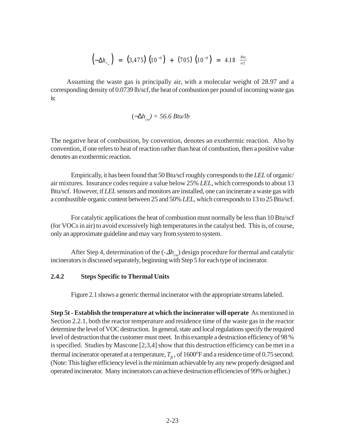$$
\left(-\Delta h_{c_{w}}\right) = (3,475) \left(10^{-3}\right) + (705) \left(10^{-3}\right) = 4.18 \frac{Btu}{scf}
$$

Assuming the waste gas is principally air, with a molecular weight of 28.97 and a corresponding density of 0.0739 lb/scf, the heat of combustion per pound of incoming waste gas is:

$$
(-\Delta h_{cw}) = 56.6 \, Btu/lb
$$

The negative heat of combustion, by convention, denotes an exothermic reaction. Also by convention, if one refers to heat of reaction rather than heat of combustion, then a positive value denotes an exothermic reaction.

Empirically, it has been found that 50 Btu/scf roughly corresponds to the *LEL* of organic/ air mixtures. Insurance codes require a value below 25% *LEL*, which corresponds to about 13 Btu/scf. However, if *LEL* sensors and monitors are installed, one can incinerate a waste gas with a combustible organic content between 25 and 50% *LEL*, which corresponds to 13 to 25 Btu/scf.

For catalytic applications the heat of combustion must normally be less than 10 Btu/scf (for VOCs in air) to avoid excessively high temperatures in the catalyst bed. This is, of course, only an approximate guideline and may vary from system to system.

After Step 4, determination of the  $(-\Delta h_{cv})$  design procedure for thermal and catalytic incinerators is discussed separately, beginning with Step 5 for each type of incinerator.

#### **2.4.2 Steps Specific to Thermal Units**

Figure 2.1 shows a generic thermal incinerator with the appropriate streams labeled.

**Step 5t - Establish the temperature at which the incinerator will operate** As mentioned in Section 2.2.1, both the reactor temperature and residence time of the waste gas in the reactor determine the level of VOC destruction. In general, state and local regulations specify the required level of destruction that the customer must meet. In this example a destruction efficiency of 98 % is specified. Studies by Mascone [2,3,4] show that this destruction efficiency can be met in a thermal incinerator operated at a temperature,  $T_{\hat{f}}$ , of 1600°F and a residence time of 0.75 second. (Note: This higher efficiency level is the minimum achievable by any new properly designed and operated incinerator. Many incinerators can achieve destruction efficiencies of 99% or higher.)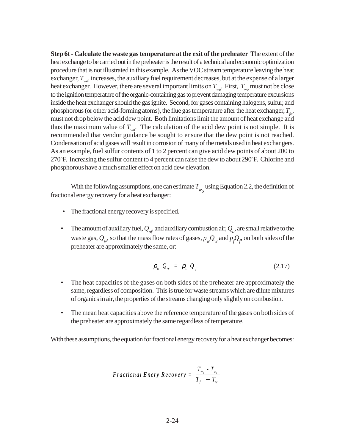**Step 6t - Calculate the waste gas temperature at the exit of the preheater** The extent of the heat exchange to be carried out in the preheater is the result of a technical and economic optimization procedure that is not illustrated in this example. As the VOC stream temperature leaving the heat exchanger,  $T_{\mu\nu}$ , increases, the auxiliary fuel requirement decreases, but at the expense of a larger heat exchanger. However, there are several important limits on  $T_{wo}$ . First,  $T_{wo}$  must not be close to the ignition temperature of the organic-containing gas to prevent damaging temperature excursions inside the heat exchanger should the gas ignite. Second, for gases containing halogens, sulfur, and phosphorous (or other acid-forming atoms), the flue gas temperature after the heat exchanger,  $T_{\epsilon_0}$ , must not drop below the acid dew point. Both limitations limit the amount of heat exchange and thus the maximum value of  $T_{wo}$ . The calculation of the acid dew point is not simple. It is recommended that vendor guidance be sought to ensure that the dew point is not reached. Condensation of acid gases will result in corrosion of many of the metals used in heat exchangers. As an example, fuel sulfur contents of 1 to 2 percent can give acid dew points of about 200 to 270°F. Increasing the sulfur content to 4 percent can raise the dew to about 290°F. Chlorine and phosphorous have a much smaller effect on acid dew elevation.

With the following assumptions, one can estimate  $T_{w<sub>o</sub>}$  using Equation 2.2, the definition of fractional energy recovery for a heat exchanger:

- The fractional energy recovery is specified.
- The amount of auxiliary fuel,  $Q_{a}$ , and auxiliary combustion air,  $Q_a$ , are small relative to the waste gas,  $Q_w$ , so that the mass flow rates of gases,  $p_w Q_w$  and  $p_f Q_f$  on both sides of the preheater are approximately the same, or:

$$
\rho_w Q_w = \rho_f Q_f \tag{2.17}
$$

- The heat capacities of the gases on both sides of the preheater are approximately the same, regardless of composition. This is true for waste streams which are dilute mixtures of organics in air, the properties of the streams changing only slightly on combustion.
- The mean heat capacities above the reference temperature of the gases on both sides of the preheater are approximately the same regardless of temperature.

With these assumptions, the equation for fractional energy recovery for a heat exchanger becomes:

$$
Fractional\ Energy\ Recovery = \frac{T_{w_o} - T_{w_i}}{T_{f_i} - T_{w_i}}
$$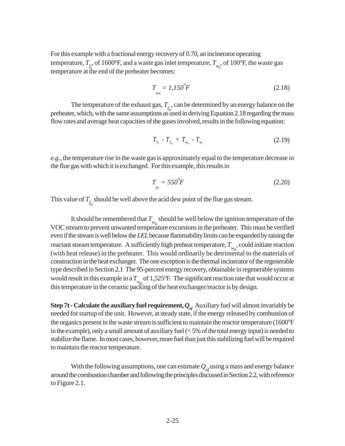For this example with a fractional energy recovery of 0.70, an incinerator operating temperature,  $T_{f_i}$ , of 1600°F, and a waste gas inlet temperature,  $T_{w_i}$ , of 100°F, the waste gas temperature at the end of the preheater becomes:

$$
T_{\substack{wo}} = 1,150^{\circ}F\tag{2.18}
$$

The temperature of the exhaust gas,  $T_{f_0}$ , can be determined by an energy balance on the preheater, which, with the same assumptions as used in deriving Equation 2.18 regarding the mass flow rates and average heat capacities of the gases involved, results in the following equation:

$$
T_{f_i} - T_{f_o} = T_{w_o} - T_{w_i} \tag{2.19}
$$

*e.g.*, the temperature rise in the waste gas is approximately equal to the temperature decrease in the flue gas with which it is exchanged. For this example, this results in

$$
T_{f0} = 550^{\circ}F \tag{2.20}
$$

This value of  $T_{f_0}$  should be well above the acid dew point of the flue gas stream.

It should be remembered that  $T_{w_0}$  should be well below the ignition temperature of the VOC stream to prevent unwanted temperature excursions in the preheater. This must be verified even if the stream is well below the *LEL* because flammability limits can be expanded by raising the reactant stream temperature. A sufficiently high preheat temperature,  $T_{w_o}$ , could initiate reaction (with heat release) in the preheater. This would ordinarily be detrimental to the materials of construction in the heat exchanger. The one exception is the thermal incinerator of the regenerable type described in Section 2.1 The 95-percent energy recovery, obtainable in regenerable systems would result in this example in a  $T_{w\rho}$  of 1,525°F. The significant reaction rate that would occur at this temperature in the ceramic packing of the heat exchanger/reactor is by design.

**Step 7t - Calculate the auxiliary fuel requirement,**  $Q_{a}$  **Auxiliary fuel will almost invariably be** needed for startup of the unit. However, at steady state, if the energy released by combustion of the organics present in the waste stream is sufficient to maintain the reactor temperature (1600°F) in the example), only a small amount of auxiliary fuel (< 5% of the total energy input) is needed to stabilize the flame. In most cases, however, more fuel than just this stabilizing fuel will be required to maintain the reactor temperature.

With the following assumptions, one can estimate  $Q_{af}$  using a mass and energy balance around the combustion chamber and following the principles discussed in Section 2.2, with reference to Figure 2.1.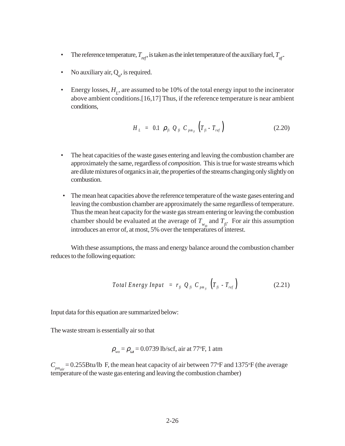- The reference temperature,  $T_{ref}$  is taken as the inlet temperature of the auxiliary fuel,  $T_{ref}$ .
- No auxiliary air,  $Q_a$ , is required.
- Energy losses,  $H_L$ , are assumed to be 10% of the total energy input to the incinerator above ambient conditions.[16,17] Thus, if the reference temperature is near ambient conditions,

$$
H_{L} = 0.1 \, \rho_{fi} \, Q_{fi} \, C_{p m_{fi}} \left( T_{fi} - T_{ref} \right) \tag{2.20}
$$

- The heat capacities of the waste gases entering and leaving the combustion chamber are approximately the same, regardless of *composition*. This is true for waste streams which are dilute mixtures of organics in air, the properties of the streams changing only slightly on combustion.
- The mean heat capacities above the reference temperature of the waste gases entering and leaving the combustion chamber are approximately the same regardless of temperature. Thus the mean heat capacity for the waste gas stream entering or leaving the combustion chamber should be evaluated at the average of  $T_{w_0}$  and  $T_f$ . For air this assumption introduces an error of, at most, 5% over the temperatures of interest.

With these assumptions, the mass and energy balance around the combustion chamber reduces to the following equation:

$$
Total Energy Input = r_{fi} Q_{fi} C_{pm_{fi}} \left( T_{fi} - T_{ref} \right) \qquad (2.21)
$$

Input data for this equation are summarized below:

The waste stream is essentially air so that

$$
\rho_{wo} = \rho_{ov} = 0.0739
$$
 lb/scf, air at 77°F, 1 atm

 $C_{p_{\textit{max}}}$  = 0.255Btu/lb F, the mean heat capacity of air between 77°F and 1375°F (the average temperature of the waste gas entering and leaving the combustion chamber)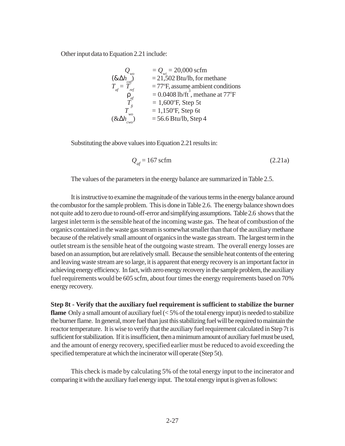Other input data to Equation 2.21 include:

$$
Q_{wo} = Q_{wi} = 20,000 \text{ scfm}
$$
  
\n
$$
(\& \Delta h_{\text{cap}}^{\text{top}}) = 21,502 \text{ Btu/lb, for methane}
$$
  
\n
$$
T_{\text{eff}} = T_{\text{ref}} = 77^{\circ}F, \text{ assume ambient conditions}
$$
  
\n
$$
P_{\text{inf}} = 0.0408 \text{ lb/ft}^3, \text{ methane at } 77^{\circ}F
$$
  
\n
$$
T_{\text{in}}^{\text{in}} = 1,600^{\circ}F, \text{ Step 5t}
$$
  
\n
$$
T_{\text{two}}^{\text{in}} = 1,150^{\circ}F, \text{ Step 6t}
$$
  
\n
$$
(\& \Delta h_{\text{two}}^{\text{in}}) = 56.6 \text{ Btu/lb, Step 4}
$$

Substituting the above values into Equation 2.21 results in:

$$
Q_{af} = 167 \text{ scfm}
$$
 (2.21a)

The values of the parameters in the energy balance are summarized in Table 2.5.

It is instructive to examine the magnitude of the various terms in the energy balance around the combustor for the sample problem. This is done in Table 2.6. The energy balance shown does not quite add to zero due to round-off-error and simplifying assumptions. Table 2.6 shows that the largest inlet term is the sensible heat of the incoming waste gas. The heat of combustion of the organics contained in the waste gas stream is somewhat smaller than that of the auxiliary methane because of the relatively small amount of organics in the waste gas stream. The largest term in the outlet stream is the sensible heat of the outgoing waste stream. The overall energy losses are based on an assumption, but are relatively small. Because the sensible heat contents of the entering and leaving waste stream are so large, it is apparent that energy recovery is an important factor in achieving energy efficiency. In fact, with zero energy recovery in the sample problem, the auxiliary fuel requirements would be 605 scfm, about four times the energy requirements based on 70% energy recovery.

**Step 8t - Verify that the auxiliary fuel requirement is sufficient to stabilize the burner flame** Only a small amount of auxiliary fuel (< 5% of the total energy input) is needed to stabilize the burner flame. In general, more fuel than just this stabilizing fuel will be required to maintain the reactor temperature. It is wise to verify that the auxiliary fuel requirement calculated in Step 7t is sufficient for stabilization. If it is insufficient, then a minimum amount of auxiliary fuel must be used, and the amount of energy recovery, specified earlier must be reduced to avoid exceeding the specified temperature at which the incinerator will operate (Step 5t).

This check is made by calculating 5% of the total energy input to the incinerator and comparing it with the auxiliary fuel energy input. The total energy input is given as follows: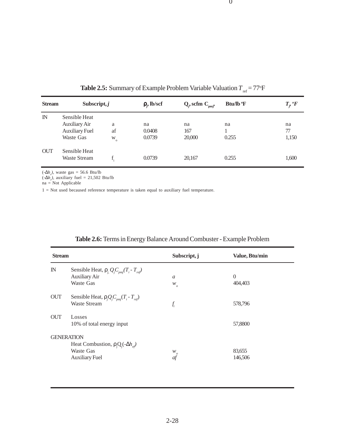|               |                                                                             |                         |                              |                          | TCL                                 |                   |
|---------------|-----------------------------------------------------------------------------|-------------------------|------------------------------|--------------------------|-------------------------------------|-------------------|
| <b>Stream</b> | Subscript, $j$                                                              |                         | $\rho$ <sub>;</sub> , lb/scf | $Q_i$ , scfm $C_{pmi}$ , | <b>Btu/lb</b> <sup>o</sup> <b>F</b> | $T,~\circ F$      |
| $\mathbb{N}$  | Sensible Heat<br><b>Auxiliary Air</b><br><b>Auxiliary Fuel</b><br>Waste Gas | a<br>af<br>W<br>$\circ$ | na<br>0.0408<br>0.0739       | na<br>167<br>20,000      | na<br>0.255                         | na<br>77<br>1,150 |
| <b>OUT</b>    | Sensible Heat<br><b>Waste Stream</b>                                        |                         | 0.0739                       | 20,167                   | 0.255                               | 1,600             |

**Table 2.5:** Summary of Example Problem Variable Valuation  $T_{ref} = 77^{\circ}F$ 

 $\mathbf{0}$ 

 $(-\Delta h_c)$ , waste gas = 56.6 Btu/lb

 $(-\Delta h_c)$ , auxiliary fuel = 21,502 Btu/lb

 $na = Not Applicable$ 

1 = Not used becaused reference temperature is taken equal to auxiliary fuel temperature.

| <b>Stream</b> |                                                                                                          | Subscript, j                                  | Value, Btu/min            |  |
|---------------|----------------------------------------------------------------------------------------------------------|-----------------------------------------------|---------------------------|--|
| $\mathbb{N}$  | Sensible Heat, $\rho_i Q_i C_{pmi}(T_i - T_{ref})$<br><b>Auxiliary Air</b><br>Waste Gas                  | a<br>$\boldsymbol{W}_o$                       | $\overline{0}$<br>404,403 |  |
| <b>OUT</b>    | Sensible Heat, $\rho_i Q_i C_{\text{pmi}}(T_i - T_{\text{ref}})$<br><b>Waste Stream</b>                  | $f_i$                                         | 578,796                   |  |
| <b>OUT</b>    | Losses<br>10% of total energy input                                                                      |                                               | 57,8800                   |  |
|               | <b>GENERATION</b><br>Heat Combustion, $\rho_i Q_i(-\Delta h_{ef})$<br>Waste Gas<br><b>Auxiliary Fuel</b> | $\ensuremath{W_o}\xspace$<br>$\mathfrak{a}$ f | 83,655<br>146,506         |  |

## **Table 2.6:** Terms in Energy Balance Around Combuster - Example Problem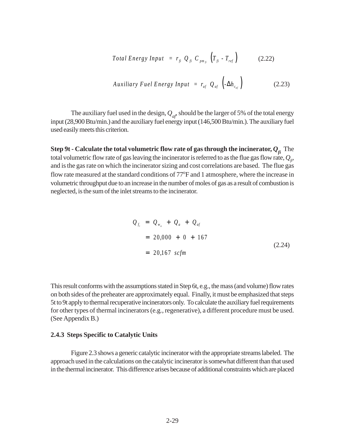$$
Total Energy Input = r_{fi} Q_{fi} C_{pm_{fi}} \left( T_{fi} - T_{ref} \right) \qquad (2.22)
$$

$$
Auxiliary\; Fuel\;Energy\; Input = r_{af} \; Q_{af} \left(-\Delta h_{c_{af}}\right) \tag{2.23}
$$

The auxiliary fuel used in the design,  $Q_{\text{at}}$ , should be the larger of 5% of the total energy input (28,900 Btu/min.) and the auxiliary fuel energy input (146,500 Btu/min.). The auxiliary fuel used easily meets this criterion.

**Step 9t - Calculate the total volumetric flow rate of gas through the incinerator,**  $Q_{fi}$  **The** total volumetric flow rate of gas leaving the incinerator is referred to as the flue gas flow rate,  $Q_{\alpha}$ , and is the gas rate on which the incinerator sizing and cost correlations are based. The flue gas flow rate measured at the standard conditions of 77°F and 1 atmosphere, where the increase in volumetric throughput due to an increase in the number of moles of gas as a result of combustion is neglected, is the sum of the inlet streams to the incinerator.

$$
Q_{f_i} = Q_{w_o} + Q_a + Q_{af}
$$
  
= 20,000 + 0 + 167  
= 20,167 scfm (2.24)

This result conforms with the assumptions stated in Step 6t, e*.*g., the mass (and volume) flow rates on both sides of the preheater are approximately equal. Finally, it must be emphasized that steps 5t to 9t apply to thermal recuperative incinerators only. To calculate the auxiliary fuel requirements for other types of thermal incinerators (e.g*.*, regenerative), a different procedure must be used. (See Appendix B.)

#### **2.4.3 Steps Specific to Catalytic Units**

Figure 2.3 shows a generic catalytic incinerator with the appropriate streams labeled. The approach used in the calculations on the catalytic incinerator is somewhat different than that used in the thermal incinerator. This difference arises because of additional constraints which are placed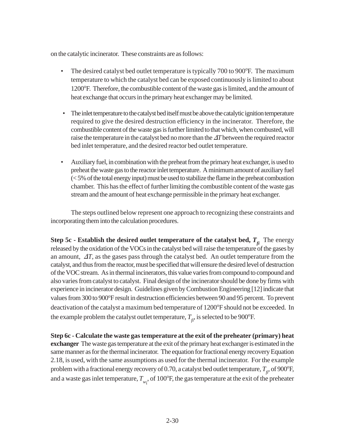on the catalytic incinerator. These constraints are as follows:

- The desired catalyst bed outlet temperature is typically 700 to 900°F. The maximum temperature to which the catalyst bed can be exposed continuously is limited to about 1200°F. Therefore, the combustible content of the waste gas is limited, and the amount of heat exchange that occurs in the primary heat exchanger may be limited.
- The inlet temperature to the catalyst bed itself must be above the catalytic ignition temperature required to give the desired destruction efficiency in the incinerator. Therefore, the combustible content of the waste gas is further limited to that which, when combusted, will raise the temperature in the catalyst bed no more than the  $\Delta T$  between the required reactor bed inlet temperature, and the desired reactor bed outlet temperature.
- Auxiliary fuel, in combination with the preheat from the primary heat exchanger, is used to preheat the waste gas to the reactor inlet temperature. A minimum amount of auxiliary fuel (< 5% of the total energy input) must be used to stabilize the flame in the preheat combustion chamber. This has the effect of further limiting the combustible content of the waste gas stream and the amount of heat exchange permissible in the primary heat exchanger.

The steps outlined below represent one approach to recognizing these constraints and incorporating them into the calculation procedures.

**Step 5c - Establish the desired outlet temperature of the catalyst bed,**  $T_{fi}$  **The energy** released by the oxidation of the VOCs in the catalyst bed will raise the temperature of the gases by an amount,  $\Delta T$ , as the gases pass through the catalyst bed. An outlet temperature from the catalyst, and thus from the reactor, must be specified that will ensure the desired level of destruction of the VOC stream. As in thermal incinerators, this value varies from compound to compound and also varies from catalyst to catalyst. Final design of the incinerator should be done by firms with experience in incinerator design. Guidelines given by Combustion Engineering [12] indicate that values from 300 to 900°F result in destruction efficiencies between 90 and 95 percent. To prevent deactivation of the catalyst a maximum bed temperature of 1200°F should not be exceeded. In the example problem the catalyst outlet temperature,  $T_{f_i}$ , is selected to be 900°F.

**Step 6c - Calculate the waste gas temperature at the exit of the preheater (primary) heat exchanger** The waste gas temperature at the exit of the primary heat exchanger is estimated in the same manner as for the thermal incinerator. The equation for fractional energy recovery Equation 2.18, is used, with the same assumptions as used for the thermal incinerator. For the example problem with a fractional energy recovery of 0.70, a catalyst bed outlet temperature,  $T_{f_i}$ , of 900°F, and a waste gas inlet temperature,  $T_{w_1}$ , of  $100^\circ$ F, the gas temperature at the exit of the preheater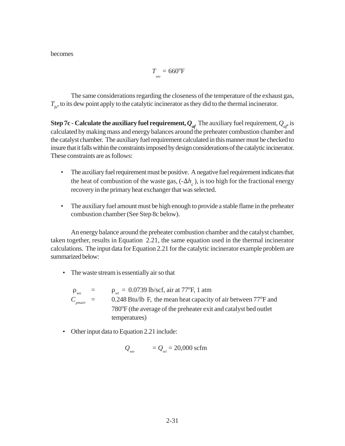becomes

$$
T_{\rm wo} = 660^{\rm o}F
$$

The same considerations regarding the closeness of the temperature of the exhaust gas,  $T_{\epsilon}$ , to its dew point apply to the catalytic incinerator as they did to the thermal incinerator.

**Step 7c - Calculate the auxiliary fuel requirement,**  $Q_{af}$  **The auxiliary fuel requirement,**  $Q_{af}$  **is** calculated by making mass and energy balances around the preheater combustion chamber and the catalyst chamber. The auxiliary fuel requirement calculated in this manner must be checked to insure that it falls within the constraints imposed by design considerations of the catalytic incinerator. These constraints are as follows:

- The auxiliary fuel requirement must be positive. A negative fuel requirement indicates that the heat of combustion of the waste gas,  $(-\Delta h_c)$ , is too high for the fractional energy recovery in the primary heat exchanger that was selected.
- The auxiliary fuel amount must be high enough to provide a stable flame in the preheater combustion chamber (See Step 8c below).

An energy balance around the preheater combustion chamber and the catalyst chamber, taken together, results in Equation 2.21, the same equation used in the thermal incinerator calculations. The input data for Equation 2.21 for the catalytic incinerator example problem are summarized below:

- The waste stream is essentially air so that
	- $\rho_{\text{wo}}$  =  $\rho_{\text{wi}} = 0.0739 \text{ lb/secf, air at } 77^{\circ} \text{F, 1 atm}$  $C_{p_{\text{mair}}}$  = 0.248 Btu/lb F, the mean heat capacity of air between 77°F and 780°F (the average of the preheater exit and catalyst bed outlet temperatures)
- Other input data to Equation 2.21 include:

$$
Q_{\scriptscriptstyle\rm wo} = Q_{\scriptscriptstyle\rm wi} = 20,000 \text{ scfm}
$$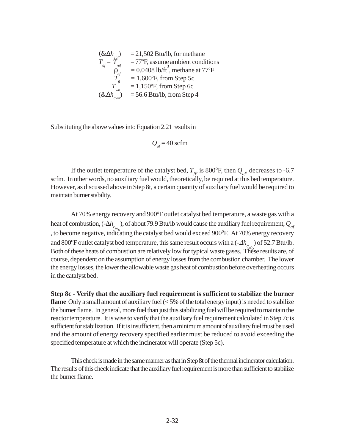$$
(\& \Delta h_{\text{car}}) = 21,502 \text{ Btu/lb, for methane}
$$
  
\n
$$
T_{\text{arf}} = T_{\text{ref}} = 77^{\circ} \text{F, assume ambient conditions}
$$
  
\n
$$
p_{\text{arf}} = 0.0408 \text{ lb/ft}^3, \text{ methane at } 77^{\circ} \text{F}
$$
  
\n
$$
T_{\text{ref}} = 1,600^{\circ} \text{F, from Step 5c}
$$
  
\n
$$
T_{\text{two}}^{\text{f}} = 1,150^{\circ} \text{F, from Step 6c}
$$
  
\n
$$
(\& \Delta h_{\text{two}}) = 56.6 \text{ Btu/lb, from Step 4}
$$

Substituting the above values into Equation 2.21 results in

$$
Q_{\text{af}} = 40 \text{ scfm}
$$

If the outlet temperature of the catalyst bed,  $T_{f_i}$ , is 800°F, then  $Q_{af}$ , decreases to -6.7 scfm. In other words, no auxiliary fuel would, theoretically, be required at this bed temperature. However, as discussed above in Step 8t, a certain quantity of auxiliary fuel would be required to maintain burner stability.

At 70% energy recovery and 900°F outlet catalyst bed temperature, a waste gas with a heat of combustion,  $(-\Delta h_c)$ , of about 79.9 Btu/lb would cause the auxiliary fuel requirement,  $Q_{af}$ , to become negative, indicating the catalyst bed would exceed 900 $\degree$ F. At 70% energy recovery and 800°F outlet catalyst bed temperature, this same result occurs with a  $(-\Delta h_c)$  of 52.7 Btu/lb.<br>Both of these heats of combustion are relatively low fortunisel wests asses. These results are of Both of these heats of combustion are relatively low for typical waste gases. These results are, of course, dependent on the assumption of energy losses from the combustion chamber. The lower the energy losses, the lower the allowable waste gas heat of combustion before overheating occurs in the catalyst bed.

**Step 8c - Verify that the auxiliary fuel requirement is sufficient to stabilize the burner flame** Only a small amount of auxiliary fuel (<5% of the total energy input) is needed to stabilize the burner flame. In general, more fuel than just this stabilizing fuel will be required to maintain the reactor temperature. It is wise to verify that the auxiliary fuel requirement calculated in Step 7c is sufficient for stabilization. If it is insufficient, then a minimum amount of auxiliary fuel must be used and the amount of energy recovery specified earlier must be reduced to avoid exceeding the specified temperature at which the incinerator will operate (Step 5c).

This check is made in the same manner as that in Step 8t of the thermal incinerator calculation. The results of this check indicate that the auxiliary fuel requirement is more than sufficient to stabilize the burner flame.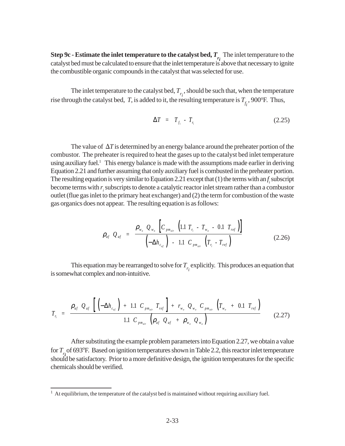**Step 9c - Estimate the inlet temperature to the catalyst bed,**  $T_{r_i}$ **.** The inlet temperature to the catalyst bed must be calculated to ensure that the inlet temperature is above that necessary to ignite the combustible organic compounds in the catalyst that was selected for use.

The inlet temperature to the catalyst bed,  $T_{r_i}$ , should be such that, when the temperature rise through the catalyst bed, *T*, is added to it, the resulting temperature is  $T_{f_i}$ , 900°F. Thus,

$$
\Delta T = T_{f_i} - T_{r_i} \tag{2.25}
$$

The value of  $\Delta T$  is determined by an energy balance around the preheater portion of the combustor. The preheater is required to heat the gases up to the catalyst bed inlet temperature using auxiliary fuel.<sup>1</sup> This energy balance is made with the assumptions made earlier in deriving Equation 2.21 and further assuming that only auxiliary fuel is combusted in the preheater portion. The resulting equation is very similar to Equation 2.21 except that  $(1)$  the terms with an  $f_i$  subscript become terms with  $r_{i}$  subscripts to denote a catalytic reactor inlet stream rather than a combustor outlet (flue gas inlet to the primary heat exchanger) and (2) the term for combustion of the waste gas organics does not appear. The resulting equation is as follows:

$$
\rho_{af} Q_{af} = \frac{\rho_{w_o} Q_{w_o} \left[ C_{p_{m_{air}}} \left( 1.1 T_{r_i} - T_{w_o} - 0.1 T_{ref} \right) \right]}{\left( -\Delta h_{c_{af}} \right) - 1.1 C_{p_{m_{air}}} \left( T_{r_i} - T_{ref} \right)}
$$
(2.26)

This equation may be rearranged to solve for  $T_{r_i}$  explicitly. This produces an equation that is somewhat complex and non-intuitive.

$$
T_{r_i} = \frac{\rho_{af} Q_{af} \left[ \left( -\Delta h_{c_{af}} \right) + 1.1 \ C_{p_{m_{air}}} T_{ref} \right] + r_{w_o} Q_{w_o} C_{p_{m_{air}}} \left( T_{w_o} + 0.1 \ T_{ref} \right)}{1.1 \ C_{p_{m_{air}}} \left( \rho_{af} Q_{af} + \rho_{w_o} Q_{w_o} \right)}
$$
(2.27)

After substituting the example problem parameters into Equation 2.27, we obtain a value for  $T<sub>i</sub>$  of 693°F. Based on ignition temperatures shown in Table 2.2, this reactor inlet temperature should be satisfactory. Prior to a more definitive design, the ignition temperatures for the specific chemicals should be verified.

 $<sup>1</sup>$  At equilibrium, the temperature of the catalyst bed is maintained without requiring auxiliary fuel.</sup>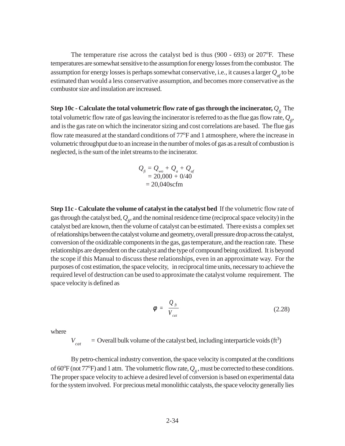The temperature rise across the catalyst bed is thus  $(900 - 693)$  or  $207^{\circ}$ F. These temperatures are somewhat sensitive to the assumption for energy losses from the combustor. The assumption for energy losses is perhaps somewhat conservative, i.e., it causes a larger  $Q_{a}$  to be estimated than would a less conservative assumption, and becomes more conservative as the combustor size and insulation are increased.

**Step 10c - Calculate the total volumetric flow rate of gas through the incinerator,**  $Q_{\hat{f}}$  **The** total volumetric flow rate of gas leaving the incinerator is referred to as the flue gas flow rate,  $Q_{\rm r}$ , and is the gas rate on which the incinerator sizing and cost correlations are based. The flue gas flow rate measured at the standard conditions of 77°F and 1 atmosphere, where the increase in volumetric throughput due to an increase in the number of moles of gas as a result of combustion is neglected, is the sum of the inlet streams to the incinerator.

$$
Q_{f} = Q_{wo} + Q_{a} + Q_{af}
$$
  
= 20,000 + 0/40  
= 20,040scfm

**Step 11c - Calculate the volume of catalyst in the catalyst bed** If the volumetric flow rate of gas through the catalyst bed,  $Q_{\hat{n}}$ , and the nominal residence time (reciprocal space velocity) in the catalyst bed are known, then the volume of catalyst can be estimated. There exists a complex set of relationships between the catalyst volume and geometry, overall pressure drop across the catalyst, conversion of the oxidizable components in the gas, gas temperature, and the reaction rate. These relationships are dependent on the catalyst and the type of compound being oxidized. It is beyond the scope if this Manual to discuss these relationships, even in an approximate way. For the purposes of cost estimation, the space velocity, in reciprocal time units, necessary to achieve the required level of destruction can be used to approximate the catalyst volume requirement. The space velocity is defined as

$$
\phi = \frac{Q_{ft}}{V_{cat}} \tag{2.28}
$$

where

 $V_{cat}$  = Overall bulk volume of the catalyst bed, including interparticle voids (ft<sup>3</sup>)

By petro-chemical industry convention, the space velocity is computed at the conditions of 60°F (not 77°F) and 1 atm. The volumetric flow rate,  $Q_f$ , must be corrected to these conditions. The proper space velocity to achieve a desired level of conversion is based on experimental data for the system involved. For precious metal monolithic catalysts, the space velocity generally lies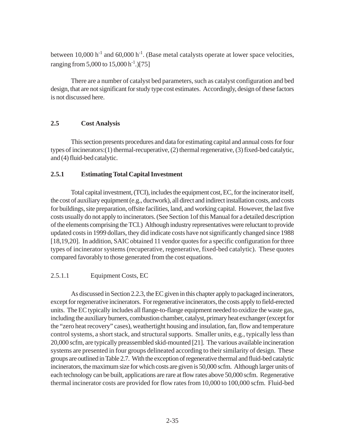between 10,000 h<sup>-1</sup> and 60,000 h<sup>-1</sup>. (Base metal catalysts operate at lower space velocities, ranging from 5,000 to  $15,000$  h<sup>-1</sup>.)[75]

There are a number of catalyst bed parameters, such as catalyst configuration and bed design, that are not significant for study type cost estimates. Accordingly, design of these factors is not discussed here.

#### **2.5 Cost Analysis**

This section presents procedures and data for estimating capital and annual costs for four types of incinerators:(1) thermal-recuperative, (2) thermal regenerative, (3) fixed-bed catalytic, and (4) fluid-bed catalytic.

#### **2.5.1 Estimating Total Capital Investment**

Total capital investment, (TCI), includes the equipment cost, EC, for the incinerator itself, the cost of auxiliary equipment (e.g., ductwork), all direct and indirect installation costs, and costs for buildings, site preparation, offsite facilities, land, and working capital. However, the last five costs usually do not apply to incinerators. (See Section 1of this Manual for a detailed description of the elements comprising the TCI.) Although industry representatives were reluctant to provide updated costs in 1999 dollars, they did indicate costs have not significantly changed since 1988 [18,19,20]. In addition, SAIC obtained 11 vendor quotes for a specific configuration for three types of incinerator systems (recuperative, regenerative, fixed-bed catalytic). These quotes compared favorably to those generated from the cost equations.

### 2.5.1.1 Equipment Costs, EC

As discussed in Section 2.2.3, the EC given in this chapter apply to packaged incinerators, except for regenerative incinerators. For regenerative incinerators, the costs apply to field-erected units. The EC typically includes all flange-to-flange equipment needed to oxidize the waste gas, including the auxiliary burners, combustion chamber, catalyst, primary heat exchanger (except for the "zero heat recovery" cases), weathertight housing and insulation, fan, flow and temperature control systems, a short stack, and structural supports. Smaller units, e.g*.*, typically less than 20,000 scfm, are typically preassembled skid-mounted [21]. The various available incineration systems are presented in four groups delineated according to their similarity of design. These groups are outlined in Table 2.7. With the exception of regenerative thermal and fluid-bed catalytic incinerators, the maximum size for which costs are given is 50,000 scfm. Although larger units of each technology can be built, applications are rare at flow rates above 50,000 scfm. Regenerative thermal incinerator costs are provided for flow rates from 10,000 to 100,000 scfm. Fluid-bed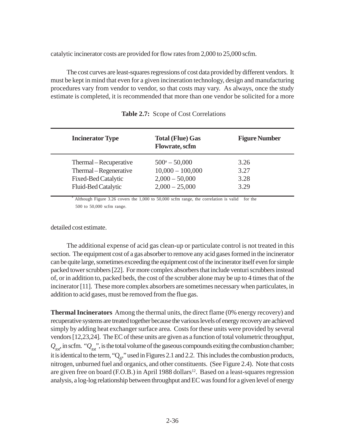catalytic incinerator costs are provided for flow rates from 2,000 to 25,000 scfm.

The cost curves are least-squares regressions of cost data provided by different vendors. It must be kept in mind that even for a given incineration technology, design and manufacturing procedures vary from vendor to vendor, so that costs may vary. As always, once the study estimate is completed, it is recommended that more than one vendor be solicited for a more

| <b>Incinerator Type</b>    | <b>Total (Flue) Gas</b><br><b>Flowrate, scfm</b> | <b>Figure Number</b> |
|----------------------------|--------------------------------------------------|----------------------|
| Thermal – Recuperative     | $500^a - 50,000$                                 | 3.26                 |
| Thermal – Regenerative     | $10,000 - 100,000$                               | 3.27                 |
| <b>Fixed-Bed Catalytic</b> | $2,000 - 50,000$                                 | 3.28                 |
| Fluid-Bed Catalytic        | $2,000 - 25,000$                                 | 3.29                 |

|  | <b>Table 2.7:</b> Scope of Cost Correlations |  |
|--|----------------------------------------------|--|
|--|----------------------------------------------|--|

 Although Figure 3.26 covers the 1,000 to 50,000 scfm range, the correlation is valid for the 500 to 50,000 scfm range.

detailed cost estimate.

a

The additional expense of acid gas clean-up or particulate control is not treated in this section. The equipment cost of a gas absorber to remove any acid gases formed in the incinerator can be quite large, sometimes exceeding the equipment cost of the incinerator itself even for simple packed tower scrubbers [22]. For more complex absorbers that include venturi scrubbers instead of, or in addition to, packed beds, the cost of the scrubber alone may be up to 4 times that of the incinerator [11]. These more complex absorbers are sometimes necessary when particulates, in addition to acid gases, must be removed from the flue gas.

**Thermal Incinerators** Among the thermal units, the direct flame (0% energy recovery) and recuperative systems are treated together because the various levels of energy recovery are achieved simply by adding heat exchanger surface area. Costs for these units were provided by several vendors [12,23,24]. The EC of these units are given as a function of total volumetric throughput,  $Q_{tot}$ , in scfm. " $Q_{tot}$ ", is the total volume of the gaseous compounds exiting the combustion chamber; it is identical to the term, "Q<sub>fi</sub>," used in Figures 2.1 and 2.2. This includes the combustion products, nitrogen, unburned fuel and organics, and other constituents. (See Figure 2.4). Note that costs are given free on board (F.O.B.) in April 1988 dollars<sup>12</sup>. Based on a least-squares regression analysis, a log-log relationship between throughput and EC was found for a given level of energy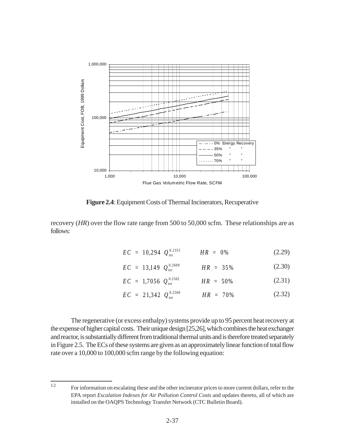

**Figure 2.4**: Equipment Costs of Thermal Incinerators, Recuperative

recovery (*HR*) over the flow rate range from 500 to 50,000 scfm. These relationships are as follows:

$$
EC = 10,294 \tQ_{tot}^{0.2355} \tHR = 0\t% \t(2.29)
$$

$$
EC = 13,149 \tQ_{tot}^{0.2609} \tHR = 35\t% \t(2.30)
$$

$$
EC = 1,7056 \tQ_{tot}^{0.2502} \tHR = 50\t% \t(2.31)
$$

$$
EC = 21,342 \tQ_{tot}^{0.2500} \tHR = 70\t% \t(2.32)
$$

The regenerative (or excess enthalpy) systems provide up to 95 percent heat recovery at the expense of higher capital costs. Their unique design [25,26], which combines the heat exchanger and reactor, is substantially different from traditional thermal units and is therefore treated separately in Figure 2.5. The ECs of these systems are given as an approximately linear function of total flow rate over a 10,000 to 100,000 scfm range by the following equation:

<sup>12</sup> For information on escalating these and the other incinerator prices to more current dollars, refer to the EPA report *Escalation Indexes for Air Pollution Control Costs* and updates thereto, all of which are installed on the OAQPS Technology Transfer Network (CTC Bulletin Board).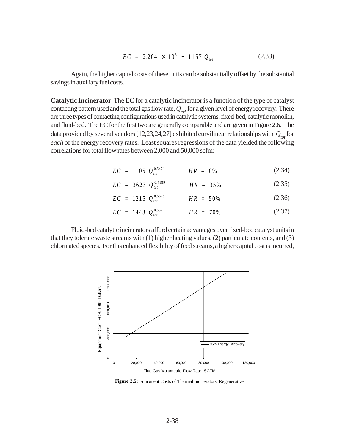$$
EC = 2.204 \times 10^5 + 11.57 Q_{tot}
$$
 (2.33)

Again, the higher capital costs of these units can be substantially offset by the substantial savings in auxiliary fuel costs.

**Catalytic Incinerator** The EC for a catalytic incinerator is a function of the type of catalyst contacting pattern used and the total gas flow rate,  $Q_{tot}$ , for a given level of energy recovery. There are three types of contacting configurations used in catalytic systems: fixed-bed, catalytic monolith, and fluid-bed. The EC for the first two are generally comparable and are given in Figure 2.6. The data provided by several vendors [12,23,24,27] exhibited curvilinear relationships with  $\mathcal{Q}_{_{tot}}$  for *each* of the energy recovery rates. Least squares regressions of the data yielded the following correlations for total flow rates between 2,000 and 50,000 scfm:

$$
EC = 1105 \tQ_{tot}^{0.5471} \tHR = 0\t\% \t(2.34)
$$

$$
EC = 3623 \tQ_{tot}^{0.4189} \tHR = 35\% \t(2.35)
$$

$$
EC = 1215 \tQ_{tot}^{0.5575} \tHR = 50\t\% \t(2.36)
$$

$$
EC = 1443 \tQ_{tot}^{0.5527} \tHR = 70\t% \t(2.37)
$$

Fluid-bed catalytic incinerators afford certain advantages over fixed-bed catalyst units in that they tolerate waste streams with (1) higher heating values, (2) particulate contents, and (3) chlorinated species. For this enhanced flexibility of feed streams, a higher capital cost is incurred,



**Figure 2.5:** Equipment Costs of Thermal Incinerators, Regenerative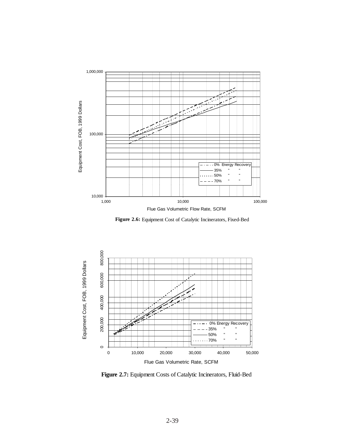

**Figure 2.6:** Equipment Cost of Catalytic Incinerators, Fixed-Bed

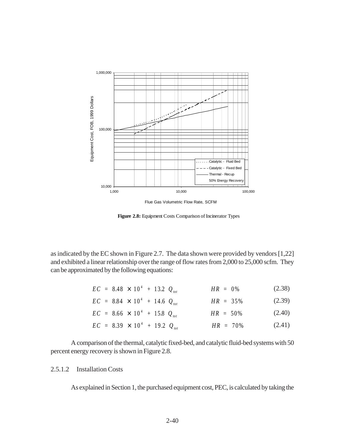

**Figure 2.8:** Equipment Costs Comparison of Incinerator Types

as indicated by the EC shown in Figure 2.7. The data shown were provided by vendors [1,22] and exhibited a linear relationship over the range of flow rates from 2,000 to 25,000 scfm. They can be approximated by the following equations:

| $EC = 8.48 \times 10^{4} + 13.2 Q_{tot}$ | $HR = 0\%$  | (2.38) |
|------------------------------------------|-------------|--------|
| $EC = 8.84 \times 10^{4} + 14.6 Q_{tot}$ | $HR = 35\%$ | (2.39) |
| $EC = 8.66 \times 10^{4} + 15.8 Q_{tot}$ | $HR = 50\%$ | (2.40) |
| $EC = 8.39 \times 10^{4} + 19.2 Q_{tot}$ | $HR = 70\%$ | (2.41) |

A comparison of the thermal, catalytic fixed-bed, and catalytic fluid-bed systems with 50 percent energy recovery is shown in Figure 2.8.

#### 2.5.1.2 Installation Costs

As explained in Section 1, the purchased equipment cost, PEC, is calculated by taking the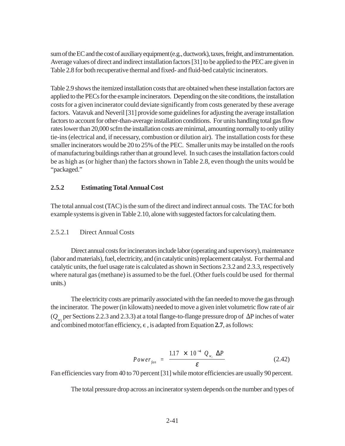sum of the EC and the cost of auxiliary equipment (e.g*.*, ductwork), taxes, freight, and instrumentation. Average values of direct and indirect installation factors [31] to be applied to the PEC are given in Table 2.8 for both recuperative thermal and fixed- and fluid-bed catalytic incinerators.

Table 2.9 shows the itemized installation costs that are obtained when these installation factors are applied to the PECs for the example incinerators. Depending on the site conditions, the installation costs for a given incinerator could deviate significantly from costs generated by these average factors. Vatavuk and Neveril [31] provide some guidelines for adjusting the average installation factors to account for other-than-average installation conditions. For units handling total gas flow rates lower than 20,000 scfm the installation costs are minimal, amounting normally to only utility tie-ins (electrical and, if necessary, combustion or dilution air). The installation costs for these smaller incinerators would be 20 to 25% of the PEC. Smaller units may be installed on the roofs of manufacturing buildings rather than at ground level. In such cases the installation factors could be as high as (or higher than) the factors shown in Table 2.8, even though the units would be "packaged."

#### **2.5.2 Estimating Total Annual Cost**

The total annual cost (TAC) is the sum of the direct and indirect annual costs. The TAC for both example systems is given in Table 2.10, alone with suggested factors for calculating them.

### 2.5.2.1 Direct Annual Costs

Direct annual costs for incinerators include labor (operating and supervisory), maintenance (labor and materials), fuel, electricity, and (in catalytic units) replacement catalyst. For thermal and catalytic units, the fuel usage rate is calculated as shown in Sections 2.3.2 and 2.3.3, respectively where natural gas (methane) is assumed to be the fuel. (Other fuels could be used for thermal units.)

The electricity costs are primarily associated with the fan needed to move the gas through the incinerator. The power (in kilowatts) needed to move a given inlet volumetric flow rate of air  $(Q_{w_i})$  per Sections 2.2.3 and 2.3.3) at a total flange-to-flange pressure drop of  $\Delta P$  inches of water and combined motor/fan efficiency,  $\epsilon$ , is adapted from Equation 2.7, as follows:

$$
Power_{fan} = \frac{1.17 \times 10^{-4} Q_{w_i} \Delta P}{\varepsilon}
$$
 (2.42)

Fan efficiencies vary from 40 to 70 percent [31] while motor efficiencies are usually 90 percent.

The total pressure drop across an incinerator system depends on the number and types of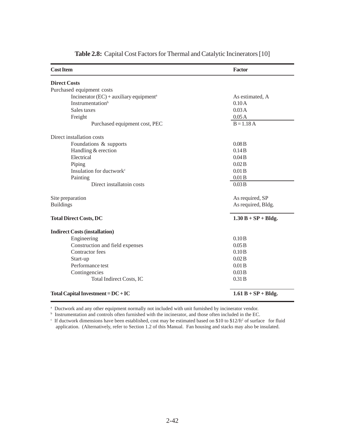| <b>Cost Item</b>                                      | Factor                 |  |
|-------------------------------------------------------|------------------------|--|
| <b>Direct Costs</b>                                   |                        |  |
| Purchased equipment costs                             |                        |  |
| Incinerator $(EC)$ + auxiliary equipment <sup>a</sup> | As estimated, A        |  |
| <b>Instrumentation</b> <sup>b</sup>                   | 0.10A                  |  |
| Sales taxes                                           | 0.03 A                 |  |
| Freight                                               | 0.05A                  |  |
| Purchased equipment cost, PEC                         | $B = 1.18 A$           |  |
| Direct installation costs                             |                        |  |
| Foundations & supports                                | 0.08B                  |  |
| Handling & erection                                   | 0.14B                  |  |
| Electrical                                            | 0.04B                  |  |
| Piping                                                | 0.02B                  |  |
| Insulation for ductwork <sup>c</sup>                  | 0.01B                  |  |
| Painting                                              | 0.01B                  |  |
| Direct installatoin costs                             | 0.03B                  |  |
| Site preparation                                      | As required, SP        |  |
| <b>Buildings</b>                                      | As required, Bldg.     |  |
| <b>Total Direct Costs, DC</b>                         | $1.30 B + SP + B$ ldg. |  |
| <b>Indirect Costs (installation)</b>                  |                        |  |
| Engineering                                           | 0.10B                  |  |
| Construction and field expenses                       | 0.05B                  |  |
| Contractor fees                                       | 0.10B                  |  |
| Start-up                                              | 0.02B                  |  |
| Performance test                                      | 0.01B                  |  |
| Contingencies                                         | 0.03B                  |  |
| Total Indirect Costs, IC                              | 0.31B                  |  |
| Total Capital Investment = $DC + IC$                  | $1.61 B + SP + Bldg.$  |  |

**Table 2.8:** Capital Cost Factors for Thermal and Catalytic Incinerators [10]

a Ductwork and any other equipment normally not included with unit furnished by incinerator vendor.

b Instrumentation and controls often furnished with the incinerator, and those often included in the EC.

If ductwork dimensions have been established, cost may be estimated based on \$10 to \$12/ft<sup>2</sup> of surface for fluid application. (Alternatively, refer to Section 1.2 of this Manual. Fan housing and stacks may also be insulated.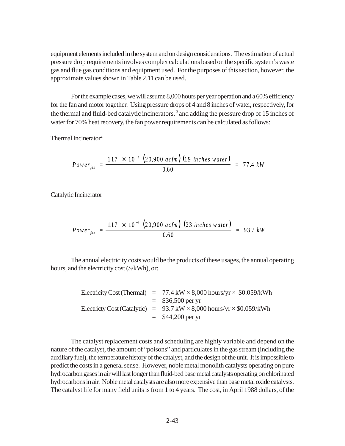equipment elements included in the system and on design considerations. The estimation of actual pressure drop requirements involves complex calculations based on the specific system's waste gas and flue gas conditions and equipment used. For the purposes of this section, however, the approximate values shown in Table 2.11 can be used.

For the example cases, we will assume 8,000 hours per year operation and a 60% efficiency for the fan and motor together. Using pressure drops of 4 and 8 inches of water, respectively, for the thermal and fluid-bed catalytic incinerators, 3 and adding the pressure drop of 15 inches of water for 70% heat recovery, the fan power requirements can be calculated as follows:

Thermal Incinerator4

$$
Power_{fan} = \frac{1.17 \times 10^{-4} (20,900 \text{ acfm}) (19 \text{ inches water})}{0.60} = 77.4 \text{ kW}
$$

Catalytic Incinerator

$$
Power_{fan} = \frac{1.17 \times 10^{-4} (20,900 \text{ acfm}) (23 \text{ inches water})}{0.60} = 93.7 \text{ kW}
$$

The annual electricity costs would be the products of these usages, the annual operating hours, and the electricity cost (\$/kWh), or:

|  | Electricity Cost (Thermal) = $77.4 \text{ kW} \times 8,000 \text{ hours/yr} \times $0.059/\text{kWh}$  |
|--|--------------------------------------------------------------------------------------------------------|
|  | $=$ \$36,500 per yr                                                                                    |
|  | Electricty Cost (Catalytic) = $93.7 \text{ kW} \times 8,000 \text{ hours/yr} \times $0.059/\text{kWh}$ |
|  | $=$ \$44,200 per yr                                                                                    |

The catalyst replacement costs and scheduling are highly variable and depend on the nature of the catalyst, the amount of "poisons" and particulates in the gas stream (including the auxiliary fuel), the temperature history of the catalyst, and the design of the unit. It is impossible to predict the costs in a general sense. However, noble metal monolith catalysts operating on pure hydrocarbon gases in air will last longer than fluid-bed base metal catalysts operating on chlorinated hydrocarbons in air. Noble metal catalysts are also more expensive than base metal oxide catalysts. The catalyst life for many field units is from 1 to 4 years. The cost, in April 1988 dollars, of the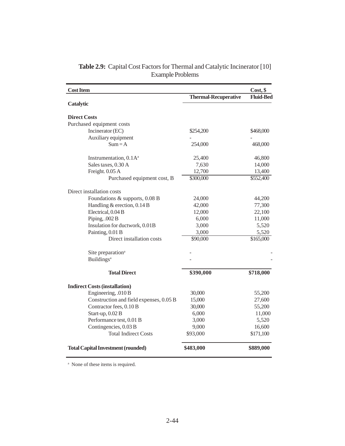| <b>Cost Item</b>                          |                             | Cost, \$              |
|-------------------------------------------|-----------------------------|-----------------------|
|                                           | <b>Thermal-Recuperative</b> | <b>Fluid-Bed</b>      |
| Catalytic                                 |                             |                       |
| <b>Direct Costs</b>                       |                             |                       |
| Purchased equipment costs                 |                             |                       |
| Incinerator (EC)                          | \$254,200                   | \$468,000             |
| Auxiliary equipment                       |                             |                       |
| $Sum = A$                                 | 254,000                     | 468,000               |
| Instrumentation, 0.1A <sup>a</sup>        | 25,400                      | 46,800                |
| Sales taxes, 0.30 A                       | 7,630                       | 14,000                |
| Freight. 0.05 A                           | 12,700                      | 13,400                |
| Purchased equipment cost, B               | \$300,000                   | $\overline{$}552,400$ |
| Direct installation costs                 |                             |                       |
| Foundations & supports, 0.08 B            | 24,000                      | 44,200                |
| Handling $&$ erection, 0.14 B             | 42,000                      | 77,300                |
| Electrical, 0.04 B                        | 12,000                      | 22,100                |
| Piping, .002 B                            | 6,000                       | 11,000                |
| Insulation for ductwork, 0.01B            | 3,000                       | 5,520                 |
| Painting, 0.01 B                          | 3,000                       | 5,520                 |
| Direct installation costs                 | \$90,000                    | $\overline{$}165,000$ |
| Site preparation <sup>a</sup>             |                             |                       |
| <b>Buildings</b> <sup>a</sup>             |                             |                       |
| <b>Total Direct</b>                       | \$390,000                   | \$718,000             |
| <b>Indirect Costs (installation)</b>      |                             |                       |
| Engineering, .010 B                       | 30,000                      | 55,200                |
| Construction and field expenses, 0.05 B   | 15,000                      | 27,600                |
| Contractor fees, 0.10 B                   | 30,000                      | 55,200                |
| Start-up, 0.02 B                          | 6,000                       | 11,000                |
| Performance test, 0.01 B                  | 3,000                       | 5,520                 |
| Contingencies, 0.03 B                     | 9,000                       | 16,600                |
| <b>Total Indirect Costs</b>               | \$93,000                    | \$171,100             |
| <b>Total Capital Investment (rounded)</b> | \$483,000                   | \$889,000             |

#### **Table 2.9:** Capital Cost Factors for Thermal and Catalytic Incinerator [10] Example Problems

<sup>a</sup> None of these items is required.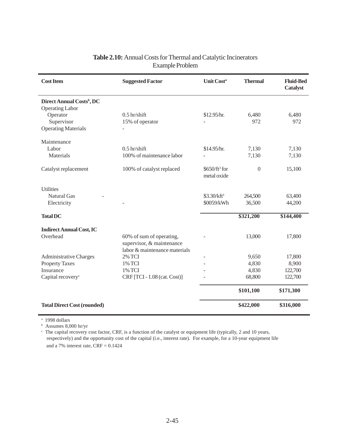| <b>Cost Item</b>                      | <b>Suggested Factor</b>       | <b>Unit Costa</b>       | <b>Thermal</b> | <b>Fluid-Bed</b><br><b>Catalyst</b> |
|---------------------------------------|-------------------------------|-------------------------|----------------|-------------------------------------|
| Direct Annual Costs <sup>b</sup> , DC |                               |                         |                |                                     |
| <b>Operating Labor</b>                |                               |                         |                |                                     |
| Operator                              | $0.5$ hr/shift                | \$12.95/hr.             | 6,480          | 6,480                               |
| Supervisor                            | 15% of operator               |                         | 972            | 972                                 |
| <b>Operating Materials</b>            |                               |                         |                |                                     |
| Maintenance                           |                               |                         |                |                                     |
| Labor                                 | $0.5$ hr/shift                | \$14.95/hr.             | 7,130          | 7,130                               |
| Materials                             | 100% of maintenance labor     |                         | 7,130          | 7,130                               |
| Catalyst replacement                  | 100% of catalyst replaced     | $$650/ft3$ for          | $\overline{0}$ | 15,100                              |
|                                       |                               | metal oxide             |                |                                     |
| <b>Utilities</b>                      |                               |                         |                |                                     |
| <b>Natural Gas</b>                    |                               | \$3.30/kft <sup>3</sup> | 264,500        | 63,400                              |
| Electricity                           |                               | \$0059/kWh              | 36,500         | 44,200                              |
| <b>Total DC</b>                       |                               |                         | \$321,200      | \$144,400                           |
| <b>Indirect Annual Cost, IC</b>       |                               |                         |                |                                     |
| Overhead                              | 60% of sum of operating,      |                         | 13,000         | 17,800                              |
|                                       | supervisor, & maintenance     |                         |                |                                     |
|                                       | labor & maintenance materials |                         |                |                                     |
| <b>Administrative Charges</b>         | <b>2% TCI</b>                 |                         | 9,650          | 17,800                              |
| <b>Property Taxes</b>                 | 1% TCI                        |                         | 4,830          | 8,900                               |
| Insurance                             | 1% TCI                        |                         | 4,830          | 122,700                             |
| Capital recovery <sup>c</sup>         | CRF [TCI - 1.08 (cat. Cost)]  |                         | 68,800         | 122,700                             |
|                                       |                               |                         | \$101,100      | \$171,300                           |
| <b>Total Direct Cost (rounded)</b>    |                               |                         | \$422,000      | \$316,000                           |

## **Table 2.10:** Annual Costs for Thermal and Catalytic Incinerators Example Problem

a 1998 dollars

b Assumes 8,000 hr/yr

The capital recovery cost factor, CRF, is a function of the catalyst or equipment life (typically, 2 and 10 years, respectively) and the opportunity cost of the capital (i.e., interest rate). For example, for a 10-year equipment life and a 7% interest rate,  $CRF = 0.1424$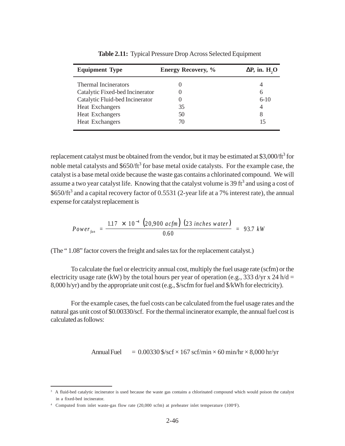| <b>Equipment Type</b>           | <b>Energy Recovery, %</b> | $\Delta P$ , in. H <sub>2</sub> O |
|---------------------------------|---------------------------|-----------------------------------|
| <b>Thermal Incinerators</b>     |                           | 4                                 |
| Catalytic Fixed-bed Incinerator | $\theta$                  | 6                                 |
| Catalytic Fluid-bed Incinerator | $\theta$                  | $6-10$                            |
| <b>Heat Exchangers</b>          | 35                        | 4                                 |
| Heat Exchangers                 | 50                        | 8                                 |
| <b>Heat Exchangers</b>          | 70                        | 15                                |

**Table 2.11:** Typical Pressure Drop Across Selected Equipment

replacement catalyst must be obtained from the vendor, but it may be estimated at \$3,000/ft<sup>3</sup> for noble metal catalysts and \$650/ft<sup>3</sup> for base metal oxide catalysts. For the example case, the catalyst is a base metal oxide because the waste gas contains a chlorinated compound. We will assume a two year catalyst life. Knowing that the catalyst volume is 39 ft<sup>3</sup> and using a cost of \$650/ft<sup>3</sup> and a capital recovery factor of 0.5531 (2-year life at a 7% interest rate), the annual expense for catalyst replacement is

$$
Power_{fan} = \frac{1.17 \times 10^{-4} (20,900 \text{ acfm}) (23 \text{ inches water})}{0.60} = 93.7 \text{ kW}
$$

(The " 1.08" factor covers the freight and sales tax for the replacement catalyst.)

To calculate the fuel or electricity annual cost, multiply the fuel usage rate (scfm) or the electricity usage rate (kW) by the total hours per year of operation (e.g., 333 d/yr x 24 h/d = 8,000 h/yr) and by the appropriate unit cost (e.g., \$/scfm for fuel and \$/kWh for electricity).

For the example cases, the fuel costs can be calculated from the fuel usage rates and the natural gas unit cost of \$0.00330/scf. For the thermal incinerator example, the annual fuel cost is calculated as follows:

Annual Fuel  $= 0.00330$  \$/scf  $\times$  167 scf/min  $\times$  60 min/hr  $\times$  8,000 hr/yr

<sup>3</sup> A fluid-bed catalytic incinerator is used because the waste gas contains a chlorinated compound which would poison the catalyst in a fixed-bed incinerator.

<sup>&</sup>lt;sup>4</sup> Computed from inlet waste-gas flow rate (20,000 scfm) at preheater inlet temperature (100°F).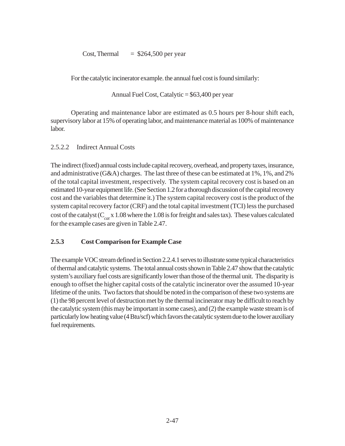Cost, Thermal  $=$  \$264,500 per year

For the catalytic incinerator example. the annual fuel cost is found similarly:

Annual Fuel Cost, Catalytic = \$63,400 per year

Operating and maintenance labor are estimated as 0.5 hours per 8-hour shift each, supervisory labor at 15% of operating labor, and maintenance material as 100% of maintenance labor.

## 2.5.2.2 Indirect Annual Costs

The indirect (fixed) annual costs include capital recovery, overhead, and property taxes, insurance, and administrative (G&A) charges. The last three of these can be estimated at 1%, 1%, and 2% of the total capital investment, respectively. The system capital recovery cost is based on an estimated 10-year equipment life. (See Section 1.2 for a thorough discussion of the capital recovery cost and the variables that determine it.) The system capital recovery cost is the product of the system capital recovery factor (CRF) and the total capital investment (TCI) less the purchased cost of the catalyst (C*cat* x 1.08 where the 1.08 is for freight and sales tax). These values calculated for the example cases are given in Table 2.47.

## **2.5.3 Cost Comparison for Example Case**

The example VOC stream defined in Section 2.2.4.1 serves to illustrate some typical characteristics of thermal and catalytic systems. The total annual costs shown in Table 2.47 show that the catalytic system's auxiliary fuel costs are significantly lower than those of the thermal unit. The disparity is enough to offset the higher capital costs of the catalytic incinerator over the assumed 10-year lifetime of the units. Two factors that should be noted in the comparison of these two systems are (1) the 98 percent level of destruction met by the thermal incinerator may be difficult to reach by the catalytic system (this may be important in some cases), and (2) the example waste stream is of particularly low heating value (4 Btu/scf) which favors the catalytic system due to the lower auxiliary fuel requirements.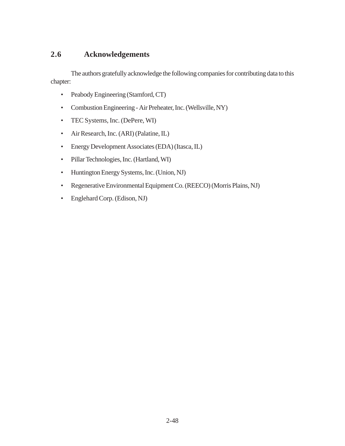## **2.6 Acknowledgements**

The authors gratefully acknowledge the following companies for contributing data to this chapter:

- Peabody Engineering (Stamford, CT)
- Combustion Engineering Air Preheater, Inc. (Wellsville, NY)
- TEC Systems, Inc. (DePere, WI)
- Air Research, Inc. (ARI) (Palatine, IL)
- Energy Development Associates (EDA) (Itasca, IL)
- Pillar Technologies, Inc. (Hartland, WI)
- Huntington Energy Systems, Inc. (Union, NJ)
- Regenerative Environmental Equipment Co. (REECO) (Morris Plains, NJ)
- Englehard Corp. (Edison, NJ)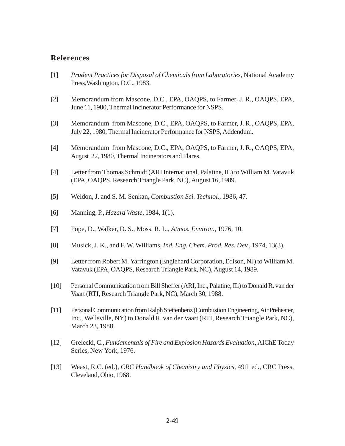### **References**

- [1] *Prudent Practices for Disposal of Chemicals from Laboratories*, National Academy Press,Washington, D.C., 1983.
- [2] Memorandum from Mascone, D.C., EPA, OAQPS, to Farmer, J. R., OAQPS, EPA, June 11, 1980, Thermal Incinerator Performance for NSPS.
- [3] Memorandum from Mascone, D.C., EPA, OAQPS, to Farmer, J. R., OAQPS, EPA, July 22, 1980, Thermal Incinerator Performance for NSPS, Addendum.
- [4] Memorandum from Mascone, D.C., EPA, OAQPS, to Farmer, J. R., OAQPS, EPA, August 22, 1980, Thermal Incinerators and Flares.
- [4] Letter from Thomas Schmidt (ARI International, Palatine, IL) to William M. Vatavuk (EPA, OAQPS, Research Triangle Park, NC), August 16, 1989.
- [5] Weldon, J. and S. M. Senkan, *Combustion Sci. Technol*., 1986, 47.
- [6] Manning, P., *Hazard Waste*, 1984, 1(1).
- [7] Pope, D., Walker, D. S., Moss, R. L., *Atmos. Environ*., 1976, 10.
- [8] Musick, J. K., and F. W. Williams, *Ind. Eng. Chem. Prod. Res. Dev.*, 1974, 13(3).
- [9] Letter from Robert M. Yarrington (Englehard Corporation, Edison, NJ) to William M. Vatavuk (EPA, OAQPS, Research Triangle Park, NC), August 14, 1989.
- [10] Personal Communication from Bill Sheffer (ARI, Inc., Palatine, IL) to Donald R. van der Vaart (RTI, Research Triangle Park, NC), March 30, 1988.
- [11] Personal Communication from Ralph Stettenbenz (Combustion Engineering, Air Preheater, Inc., Wellsville, NY) to Donald R. van der Vaart (RTI, Research Triangle Park, NC), March 23, 1988.
- [12] Grelecki, C., *Fundamentals of Fire and Explosion Hazards Evaluation*, AIChE Today Series, New York, 1976.
- [13] Weast, R.C. (ed.), *CRC Handbook of Chemistry and Physics*, 49th ed., CRC Press, Cleveland, Ohio, 1968.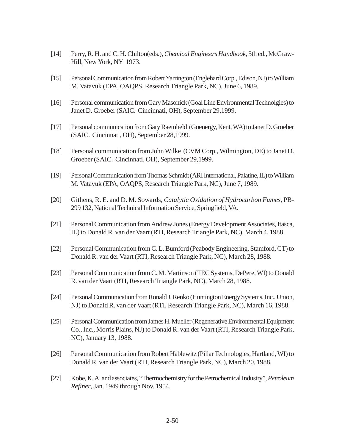- [14] Perry, R. H. and C. H. Chilton(eds.), *Chemical Engineers Handbook*, 5th ed., McGraw-Hill, New York, NY 1973.
- [15] Personal Communication from Robert Yarrington (Englehard Corp., Edison, NJ) to William M. Vatavuk (EPA, OAQPS, Research Triangle Park, NC), June 6, 1989.
- [16] Personal communication from Gary Masonick (Goal Line Environmental Technolgies) to Janet D. Groeber (SAIC. Cincinnati, OH), September 29,1999.
- [17] Personal communication from Gary Raemheld (Goenergy, Kent, WA) to Janet D. Groeber (SAIC. Cincinnati, OH), September 28,1999.
- [18] Personal communication from John Wilke (CVM Corp., Wilmington, DE) to Janet D. Groeber (SAIC. Cincinnati, OH), September 29,1999.
- [19] Personal Communication from Thomas Schmidt (ARI International, Palatine, IL) to William M. Vatavuk (EPA, OAQPS, Research Triangle Park, NC), June 7, 1989.
- [20] Githens, R. E. and D. M. Sowards, *Catalytic Oxidation of Hydrocarbon Fumes*, PB-299 132, National Technical Information Service, Springfield, VA.
- [21] Personal Communication from Andrew Jones (Energy Development Associates, Itasca, IL) to Donald R. van der Vaart (RTI, Research Triangle Park, NC), March 4, 1988.
- [22] Personal Communication from C. L. Bumford (Peabody Engineering, Stamford, CT) to Donald R. van der Vaart (RTI, Research Triangle Park, NC), March 28, 1988.
- [23] Personal Communication from C. M. Martinson (TEC Systems, DePere, WI) to Donald R. van der Vaart (RTI, Research Triangle Park, NC), March 28, 1988.
- [24] Personal Communication from Ronald J. Renko (Huntington Energy Systems, Inc., Union, NJ) to Donald R. van der Vaart (RTI, Research Triangle Park, NC), March 16, 1988.
- [25] Personal Communication from James H. Mueller (Regenerative Environmental Equipment Co., Inc., Morris Plains, NJ) to Donald R. van der Vaart (RTI, Research Triangle Park, NC), January 13, 1988.
- [26] Personal Communication from Robert Hablewitz (Pillar Technologies, Hartland, WI) to Donald R. van der Vaart (RTI, Research Triangle Park, NC), March 20, 1988.
- [27] Kobe, K. A. and associates, "Thermochemistry for the Petrochemical Industry", *Petroleum Refiner*, Jan. 1949 through Nov. 1954.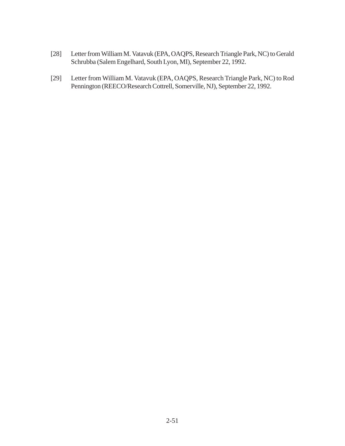- [28] Letter from William M. Vatavuk (EPA, OAQPS, Research Triangle Park, NC) to Gerald Schrubba (Salem Engelhard, South Lyon, MI), September 22, 1992.
- [29] Letter from William M. Vatavuk (EPA, OAQPS, Research Triangle Park, NC) to Rod Pennington (REECO/Research Cottrell, Somerville, NJ), September 22, 1992.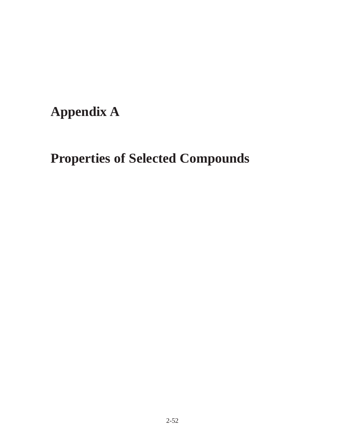## **Appendix A**

## **Properties of Selected Compounds**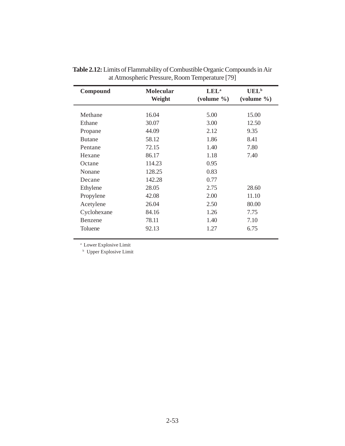| Compound      | <b>Molecular</b><br>Weight | LEL <sup>a</sup><br>$\text{(volume }\% )$ | $UEL^b$<br>$\text{(volume }\% )$ |
|---------------|----------------------------|-------------------------------------------|----------------------------------|
| Methane       | 16.04                      | 5.00                                      | 15.00                            |
| Ethane        | 30.07                      | 3.00                                      | 12.50                            |
| Propane       | 44.09                      | 2.12                                      | 9.35                             |
| <b>Butane</b> | 58.12                      | 1.86                                      | 8.41                             |
| Pentane       | 72.15                      | 1.40                                      | 7.80                             |
| Hexane        | 86.17                      | 1.18                                      | 7.40                             |
| Octane        | 114.23                     | 0.95                                      |                                  |
| Nonane        | 128.25                     | 0.83                                      |                                  |
| Decane        | 142.28                     | 0.77                                      |                                  |
| Ethylene      | 28.05                      | 2.75                                      | 28.60                            |
| Propylene     | 42.08                      | 2.00                                      | 11.10                            |
| Acetylene     | 26.04                      | 2.50                                      | 80.00                            |
| Cyclohexane   | 84.16                      | 1.26                                      | 7.75                             |
| Benzene       | 78.11                      | 1.40                                      | 7.10                             |
| Toluene       | 92.13                      | 1.27                                      | 6.75                             |

**Table 2.12:** Limits of Flammability of Combustible Organic Compounds in Air at Atmospheric Pressure, Room Temperature [79]

a Lower Explosive Limit

**b** Upper Explosive Limit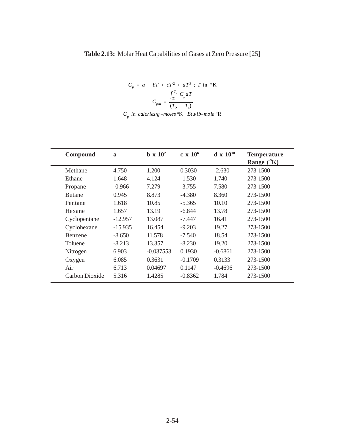## **Table 2.13:** Molar Heat Capabilities of Gases at Zero Pressure [25]

$$
C_p = a + bT + cT^2 + dT^3 ; T \text{ in } ^\circ\text{K}
$$

$$
C_{pm} = \frac{\int_{T_1}^{T_2} C_p dT}{(T_2 - T_1)}
$$

|  |  | $C_p$ in calories/g-moles <sup>o</sup> K Btu/lb-mole <sup>o</sup> R |  |
|--|--|---------------------------------------------------------------------|--|
|--|--|---------------------------------------------------------------------|--|

| Compound       | $\mathbf{a}$ | $b \times 10^2$ | $c \times 10^6$ | $d \times 10^{10}$ | <b>Temperature</b><br>Range $(^{\circ}K)$ |
|----------------|--------------|-----------------|-----------------|--------------------|-------------------------------------------|
| Methane        | 4.750        | 1.200           | 0.3030          | $-2.630$           | 273-1500                                  |
| Ethane         | 1.648        | 4.124           | $-1.530$        | 1.740              | 273-1500                                  |
| Propane        | $-0.966$     | 7.279           | $-3.755$        | 7.580              | 273-1500                                  |
| <b>Butane</b>  | 0.945        | 8.873           | $-4.380$        | 8.360              | 273-1500                                  |
| Pentane        | 1.618        | 10.85           | $-5.365$        | 10.10              | 273-1500                                  |
| Hexane         | 1.657        | 13.19           | $-6.844$        | 13.78              | 273-1500                                  |
| Cyclopentane   | $-12.957$    | 13.087          | $-7.447$        | 16.41              | 273-1500                                  |
| Cyclohexane    | $-15.935$    | 16.454          | $-9.203$        | 19.27              | 273-1500                                  |
| Benzene        | $-8.650$     | 11.578          | $-7.540$        | 18.54              | 273-1500                                  |
| Toluene        | $-8.213$     | 13.357          | $-8.230$        | 19.20              | 273-1500                                  |
| Nitrogen       | 6.903        | $-0.037553$     | 0.1930          | $-0.6861$          | 273-1500                                  |
| Oxygen         | 6.085        | 0.3631          | $-0.1709$       | 0.3133             | 273-1500                                  |
| Air            | 6.713        | 0.04697         | 0.1147          | $-0.4696$          | 273-1500                                  |
| Carbon Dioxide | 5.316        | 1.4285          | $-0.8362$       | 1.784              | 273-1500                                  |
|                |              |                 |                 |                    |                                           |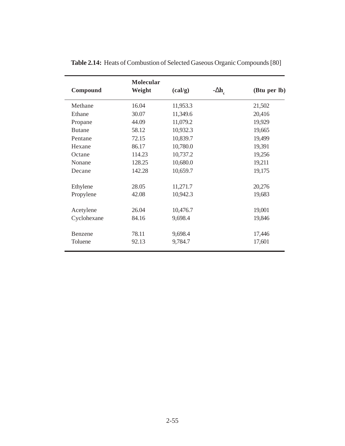| Compound      | <b>Molecular</b><br>Weight | $\left(\text{cal/g}\right)$ | $-\Delta h$ <sub>c</sub> | (Btu per lb) |
|---------------|----------------------------|-----------------------------|--------------------------|--------------|
| Methane       | 16.04                      | 11,953.3                    |                          | 21,502       |
| Ethane        | 30.07                      | 11,349.6                    |                          | 20,416       |
| Propane       | 44.09                      | 11,079.2                    |                          | 19,929       |
| <b>Butane</b> | 58.12                      | 10,932.3                    |                          | 19,665       |
| Pentane       | 72.15                      | 10,839.7                    |                          | 19,499       |
| Hexane        | 86.17                      | 10,780.0                    |                          | 19,391       |
| Octane        | 114.23                     | 10,737.2                    |                          | 19,256       |
| Nonane        | 128.25                     | 10,680.0                    |                          | 19,211       |
| Decane        | 142.28                     | 10,659.7                    |                          | 19,175       |
| Ethylene      | 28.05                      | 11,271.7                    |                          | 20,276       |
| Propylene     | 42.08                      | 10,942.3                    |                          | 19,683       |
| Acetylene     | 26.04                      | 10,476.7                    |                          | 19,001       |
| Cyclohexane   | 84.16                      | 9,698.4                     |                          | 19,846       |
| Benzene       | 78.11                      | 9,698.4                     |                          | 17,446       |
| Toluene       | 92.13                      | 9,784.7                     |                          | 17,601       |

**Table 2.14:** Heats of Combustion of Selected Gaseous Organic Compounds [80]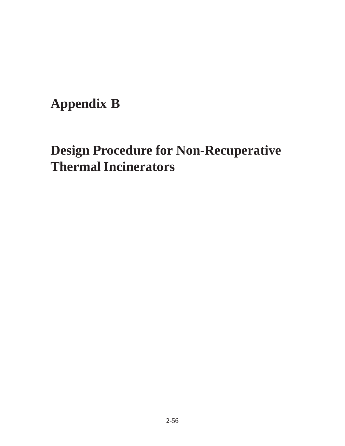## **Appendix B**

# **Design Procedure for Non-Recuperative Thermal Incinerators**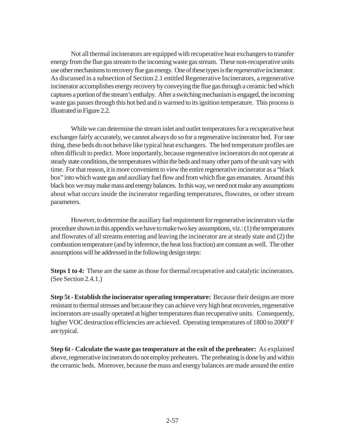Not all thermal incinerators are equipped with recuperative heat exchangers to transfer energy from the flue gas stream to the incoming waste gas stream. These non-recuperative units use other mechanisms to recovery flue gas energy. One of these types is the *regenerative* incinerator. As discussed in a subsection of Section 2.1 entitled Regenerative Incinerators, a regenerative incinerator accomplishes energy recovery by conveying the flue gas through a ceramic bed which captures a portion of the stream's enthalpy. After a switching mechanism is engaged, the incoming waste gas passes through this hot bed and is warmed to its ignition temperature. This process is illustrated in Figure 2.2.

While we can determine the stream inlet and outlet temperatures for a recuperative heat exchanger fairly accurately, we cannot always do so for a regenerative incinerator bed. For one thing, these beds do not behave like typical heat exchangers. The bed temperature profiles are often difficult to predict. More importantly, because regenerative incinerators do not operate at steady state conditions, the temperatures within the beds and many other parts of the unit vary with time. For that reason, it is more convenient to view the entire regenerative incinerator as a "black box" into which waste gas and auxiliary fuel flow and from which flue gas emanates. Around this black box we may make mass and energy balances. In this way, we need not make any assumptions about what occurs inside the incinerator regarding temperatures, flowrates, or other stream parameters.

However, to determine the auxiliary fuel requirement for regenerative incinerators via the procedure shown in this appendix we have to make two key assumptions, viz.: (1) the temperatures and flowrates of all streams entering and leaving the incinerator are at steady state and (2) the combustion temperature (and by inference, the heat loss fraction) are constant as well. The other assumptions will be addressed in the following design steps:

**Steps 1 to 4:** These are the same as those for thermal recuperative and catalytic incinerators. (See Section 2.4.1.)

**Step 5t - Establish the incinerator operating temperature:** Because their designs are more resistant to thermal stresses and because they can achieve very high heat recoveries, regenerative incinerators are usually operated at higher temperatures than recuperative units. Consequently, higher VOC destruction efficiencies are achieved. Operating temperatures of 1800 to 2000°F are typical.

**Step 6t - Calculate the waste gas temperature at the exit of the preheater:** As explained above, regenerative incinerators do not employ preheaters. The preheating is done by and within the ceramic beds. Moreover, because the mass and energy balances are made around the entire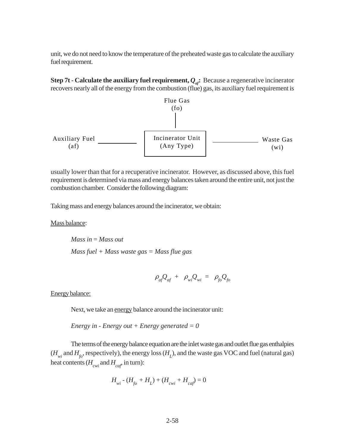unit, we do not need to know the temperature of the preheated waste gas to calculate the auxiliary fuel requirement.

**Step 7t - Calculate the auxiliary fuel requirement,**  $Q_{a}$ **: Because a regenerative incinerator** recovers nearly all of the energy from the combustion (flue) gas, its auxiliary fuel requirement is



usually lower than that for a recuperative incinerator. However, as discussed above, this fuel requirement is determined via mass and energy balances taken around the entire unit, not just the combustion chamber. Consider the following diagram:

Taking mass and energy balances around the incinerator, we obtain:

Mass balance:

*Mass in* = *Mass out Mass fuel + Mass waste gas = Mass flue gas*

$$
\rho_{af}Q_{af} + \rho_{wi}Q_{wi} = \rho_{fo}Q_{fo}
$$

Energy balance:

Next, we take an energy balance around the incinerator unit:

*Energy in - Energy out + Energy generated = 0*

The terms of the energy balance equation are the inlet waste gas and outlet flue gas enthalpies  $(H_{wi}$  and  $H_{fo}$ , respectively), the energy loss  $(H_L)$ , and the waste gas VOC and fuel (natural gas) heat contents  $(H_{\text{cwi}} \text{ and } H_{\text{caf}})$  in turn):

$$
H_{wi} - (H_{fo} + H_L) + (H_{cwi} + H_{caf}) = 0
$$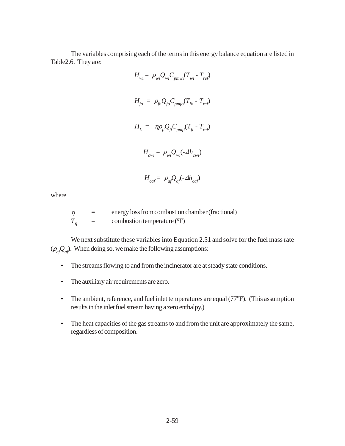The variables comprising each of the terms in this energy balance equation are listed in Table2.6. They are:

$$
H_{wi} = \rho_{wi} Q_{wi} C_{pmwi} (T_{wi} - T_{ref})
$$
  

$$
H_{fo} = \rho_{fo} Q_{fo} C_{pmfo} (T_{fo} - T_{ref})
$$
  

$$
H_{L} = \eta \rho_{fi} Q_{fi} C_{pmfi} (T_{fi} - T_{ref})
$$
  

$$
H_{cwi} = \rho_{wi} Q_{wi} (-\Delta h_{cwi})
$$

$$
H_{\text{caf}} = \rho_{\text{af}} Q_{\text{af}} (-\Delta h_{\text{caf}})
$$

where

$$
\eta = \text{energy loss from combustion chamber (fractional)}
$$
\n
$$
T_{fi} = \text{combustion temperature (°F)}
$$

We next substitute these variables into Equation 2.51 and solve for the fuel mass rate  $(\rho_{af}Q_{af})$ . When doing so, we make the following assumptions:

- The streams flowing to and from the incinerator are at steady state conditions.
- The auxiliary air requirements are zero.
- The ambient, reference, and fuel inlet temperatures are equal (77°F). (This assumption results in the inlet fuel stream having a zero enthalpy.)
- The heat capacities of the gas streams to and from the unit are approximately the same, regardless of composition.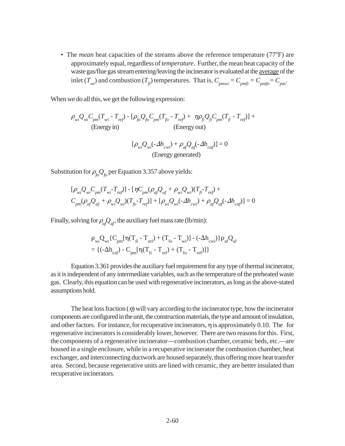• The *mean* heat capacities of the streams above the reference temperature (77°F) are approximately equal, regardless of *temperature*. Further, the mean heat capacity of the waste gas/flue gas stream entering/leaving the incinerator is evaluated at the average of the inlet  $(T_{wi})$  and combustion  $(T_{fi})$  temperatures. That is,  $C_{pmwi} = C_{pmfi} = C_{pmfo} = C_{pm}$ .

When we do all this, we get the following expression:

$$
\rho_{wi} Q_{wi} C_{pm} (T_{wi} - T_{ref}) - [\rho_{fo} Q_{fo} C_{pm} (T_{fo} - T_{ref}) + \eta \rho_{fi} Q_{fi} C_{pm} (T_{fi} - T_{ref})] +
$$
\n(Energy in)\n(Energy on)\n
$$
(T_{mi} - T_{ref}) = \rho_{fo} (T_{fo} - T_{ref})
$$

$$
[\rho_{wi}Q_{wi}(-\Delta h_{cwi}) + \rho_{af}Q_{af}(-\Delta h_{caf})] = 0
$$
  
(Energy generated)

Substitution for  $\rho_{\hat{f}\circ} Q_{\hat{f}\circ}$  per Equation 3.357 above yields:

$$
\begin{aligned} & [\rho_{wi} Q_{wi} C_{pm} (T_{wi} - T_{ref})] - [\eta C_{pm} (\rho_{af} Q_{af} + \rho_{wi} Q_{wi}) (T_{fi} - T_{ref}) + \\ & C_{pm} (\rho_{af} Q_{af} + \rho_{wi} Q_{wi}) (T_{fo} - T_{ref})] + [\rho_{wi} Q_{wi} (-\Delta h_{cwi}) + \rho_{af} Q_{af} (-\Delta h_{caf})] = 0 \end{aligned}
$$

Finally, solving for  $\rho_{a}Q_{at}$ , the auxiliary fuel mass rate (lb/min):

$$
\begin{aligned} &\rho_{wi}Q_{wi}\{C_{pm}[\eta(T_{fi}-T_{ref})+(T_{fo}-T_{wi})]-(-\Delta h_{cwi})\}\rho_{af}Q_{af}\\ &=\{(-\Delta h_{car})-C_{pm}[\eta(T_{fi}-T_{ref})+(T_{fo}-T_{ref})]\} \end{aligned}
$$

Equation 3.361 provides the auxiliary fuel requirement for any type of thermal incinerator, as it is independent of any intermediate variables, such as the temperature of the preheated waste gas. Clearly, this equation can be used with regenerative incinerators, as long as the above-stated assumptions hold.

The heat loss fraction  $(\eta)$  will vary according to the incinerator type, how the incinerator components are configured in the unit, the construction materials, the type and amount of insulation, and other factors. For instance, for recuperative incinerators,  $\eta$  is approximately 0.10. The for regenerative incinerators is considerably lower, however. There are two reasons for this. First, the components of a regenerative incinerator—combustion chamber, ceramic beds, etc.—are housed in a single enclosure, while in a recuperative incinerator the combustion chamber, heat exchanger, and interconnecting ductwork are housed separately, thus offering more heat transfer area. Second, because regenerative units are lined with ceramic, they are better insulated than recuperative incinerators.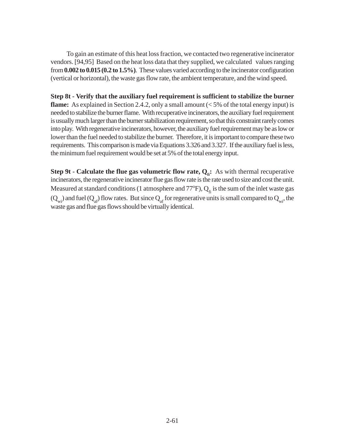To gain an estimate of this heat loss fraction, we contacted two regenerative incinerator vendors. [94,95] Based on the heat loss data that they supplied, we calculated values ranging from **0.002 to 0.015 (0.2 to 1.5%)**. These values varied according to the incinerator configuration (vertical or horizontal), the waste gas flow rate, the ambient temperature, and the wind speed.

**Step 8t - Verify that the auxiliary fuel requirement is sufficient to stabilize the burner flame:** As explained in Section 2.4.2, only a small amount (< 5% of the total energy input) is needed to stabilize the burner flame. With recuperative incinerators, the auxiliary fuel requirement is usually much larger than the burner stabilization requirement, so that this constraint rarely comes into play. With regenerative incinerators, however, the auxiliary fuel requirement may be as low or lower than the fuel needed to stabilize the burner. Therefore, it is important to compare these two requirements. This comparison is made via Equations 3.326 and 3.327. If the auxiliary fuel is less, the minimum fuel requirement would be set at 5% of the total energy input.

**Step 9t - Calculate the flue gas volumetric flow rate,**  $Q_{fi}$ **:** As with thermal recuperative incinerators, the regenerative incinerator flue gas flow rate is the rate used to size and cost the unit. Measured at standard conditions (1 atmosphere and  $77^{\circ}\text{F}$ ),  $\text{Q}_{\text{fi}}$  is the sum of the inlet waste gas  $(Q_{w_i})$  and fuel  $(Q_{\text{at}})$  flow rates. But since  $Q_{\text{at}}$  for regenerative units is small compared to  $Q_{w_i}$ , the waste gas and flue gas flows should be virtually identical.